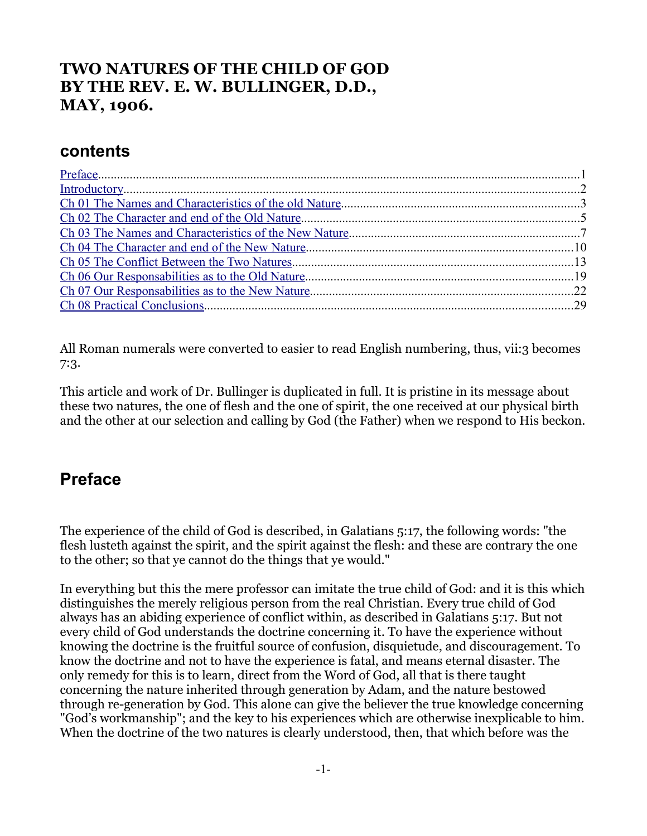### **TWO NATURES OF THE CHILD OF GOD BY THE REV. E. W. BULLINGER, D.D., MAY, 1906.**

#### **contents**

All Roman numerals were converted to easier to read English numbering, thus, vii:3 becomes 7:3.

This article and work of Dr. Bullinger is duplicated in full. It is pristine in its message about these two natures, the one of flesh and the one of spirit, the one received at our physical birth and the other at our selection and calling by God (the Father) when we respond to His beckon.

## <span id="page-0-0"></span>**Preface**

The experience of the child of God is described, in Galatians 5:17, the following words: "the flesh lusteth against the spirit, and the spirit against the flesh: and these are contrary the one to the other; so that ye cannot do the things that ye would."

In everything but this the mere professor can imitate the true child of God: and it is this which distinguishes the merely religious person from the real Christian. Every true child of God always has an abiding experience of conflict within, as described in Galatians 5:17. But not every child of God understands the doctrine concerning it. To have the experience without knowing the doctrine is the fruitful source of confusion, disquietude, and discouragement. To know the doctrine and not to have the experience is fatal, and means eternal disaster. The only remedy for this is to learn, direct from the Word of God, all that is there taught concerning the nature inherited through generation by Adam, and the nature bestowed through re-generation by God. This alone can give the believer the true knowledge concerning "God's workmanship"; and the key to his experiences which are otherwise inexplicable to him. When the doctrine of the two natures is clearly understood, then, that which before was the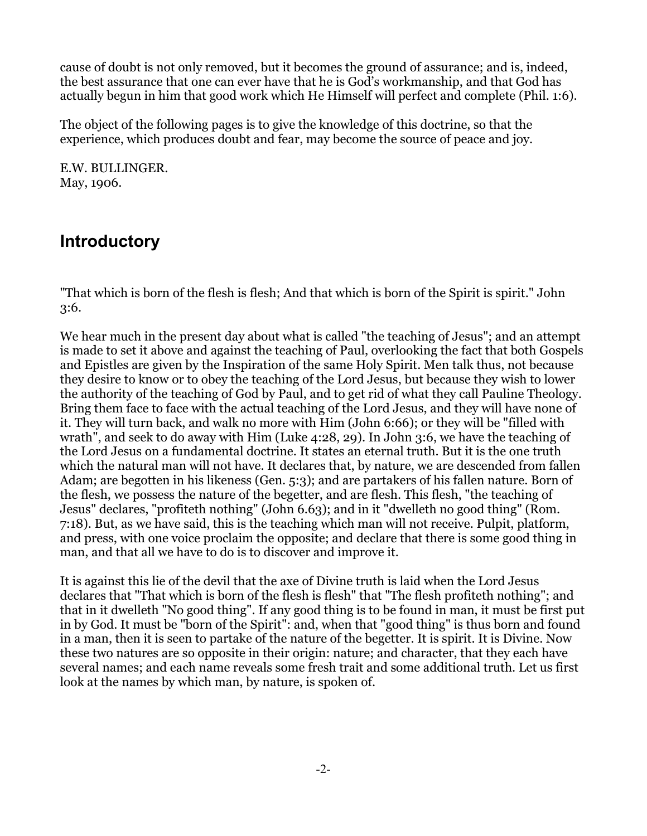cause of doubt is not only removed, but it becomes the ground of assurance; and is, indeed, the best assurance that one can ever have that he is God's workmanship, and that God has actually begun in him that good work which He Himself will perfect and complete (Phil. 1:6).

The object of the following pages is to give the knowledge of this doctrine, so that the experience, which produces doubt and fear, may become the source of peace and joy.

E.W. BULLINGER. May, 1906.

# <span id="page-1-0"></span>**Introductory**

"That which is born of the flesh is flesh; And that which is born of the Spirit is spirit." John 3:6.

We hear much in the present day about what is called "the teaching of Jesus"; and an attempt is made to set it above and against the teaching of Paul, overlooking the fact that both Gospels and Epistles are given by the Inspiration of the same Holy Spirit. Men talk thus, not because they desire to know or to obey the teaching of the Lord Jesus, but because they wish to lower the authority of the teaching of God by Paul, and to get rid of what they call Pauline Theology. Bring them face to face with the actual teaching of the Lord Jesus, and they will have none of it. They will turn back, and walk no more with Him (John 6:66); or they will be "filled with wrath", and seek to do away with Him (Luke 4:28, 29). In John 3:6, we have the teaching of the Lord Jesus on a fundamental doctrine. It states an eternal truth. But it is the one truth which the natural man will not have. It declares that, by nature, we are descended from fallen Adam; are begotten in his likeness (Gen. 5:3); and are partakers of his fallen nature. Born of the flesh, we possess the nature of the begetter, and are flesh. This flesh, "the teaching of Jesus" declares, "profiteth nothing" (John 6.63); and in it "dwelleth no good thing" (Rom. 7:18). But, as we have said, this is the teaching which man will not receive. Pulpit, platform, and press, with one voice proclaim the opposite; and declare that there is some good thing in man, and that all we have to do is to discover and improve it.

It is against this lie of the devil that the axe of Divine truth is laid when the Lord Jesus declares that "That which is born of the flesh is flesh" that "The flesh profiteth nothing"; and that in it dwelleth "No good thing". If any good thing is to be found in man, it must be first put in by God. It must be "born of the Spirit": and, when that "good thing" is thus born and found in a man, then it is seen to partake of the nature of the begetter. It is spirit. It is Divine. Now these two natures are so opposite in their origin: nature; and character, that they each have several names; and each name reveals some fresh trait and some additional truth. Let us first look at the names by which man, by nature, is spoken of.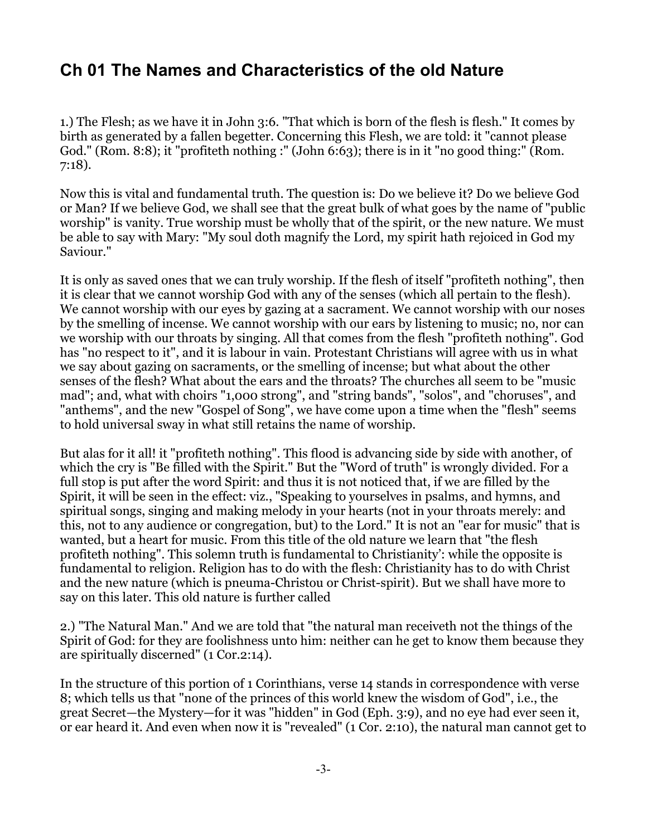# <span id="page-2-0"></span>**Ch 01 The Names and Characteristics of the old Nature**

1.) The Flesh; as we have it in John 3:6. "That which is born of the flesh is flesh." It comes by birth as generated by a fallen begetter. Concerning this Flesh, we are told: it "cannot please God." (Rom. 8:8); it "profiteth nothing :" (John 6:63); there is in it "no good thing:" (Rom. 7:18).

Now this is vital and fundamental truth. The question is: Do we believe it? Do we believe God or Man? If we believe God, we shall see that the great bulk of what goes by the name of "public worship" is vanity. True worship must be wholly that of the spirit, or the new nature. We must be able to say with Mary: "My soul doth magnify the Lord, my spirit hath rejoiced in God my Saviour."

It is only as saved ones that we can truly worship. If the flesh of itself "profiteth nothing", then it is clear that we cannot worship God with any of the senses (which all pertain to the flesh). We cannot worship with our eyes by gazing at a sacrament. We cannot worship with our noses by the smelling of incense. We cannot worship with our ears by listening to music; no, nor can we worship with our throats by singing. All that comes from the flesh "profiteth nothing". God has "no respect to it", and it is labour in vain. Protestant Christians will agree with us in what we say about gazing on sacraments, or the smelling of incense; but what about the other senses of the flesh? What about the ears and the throats? The churches all seem to be "music mad"; and, what with choirs "1,000 strong", and "string bands", "solos", and "choruses", and "anthems", and the new "Gospel of Song", we have come upon a time when the "flesh" seems to hold universal sway in what still retains the name of worship.

But alas for it all! it "profiteth nothing". This flood is advancing side by side with another, of which the cry is "Be filled with the Spirit." But the "Word of truth" is wrongly divided. For a full stop is put after the word Spirit: and thus it is not noticed that, if we are filled by the Spirit, it will be seen in the effect: viz., "Speaking to yourselves in psalms, and hymns, and spiritual songs, singing and making melody in your hearts (not in your throats merely: and this, not to any audience or congregation, but) to the Lord." It is not an "ear for music" that is wanted, but a heart for music. From this title of the old nature we learn that "the flesh profiteth nothing". This solemn truth is fundamental to Christianity': while the opposite is fundamental to religion. Religion has to do with the flesh: Christianity has to do with Christ and the new nature (which is pneuma-Christou or Christ-spirit). But we shall have more to say on this later. This old nature is further called

2.) "The Natural Man." And we are told that "the natural man receiveth not the things of the Spirit of God: for they are foolishness unto him: neither can he get to know them because they are spiritually discerned" (1 Cor.2:14).

In the structure of this portion of 1 Corinthians, verse 14 stands in correspondence with verse 8; which tells us that "none of the princes of this world knew the wisdom of God", i.e., the great Secret—the Mystery—for it was "hidden" in God (Eph. 3:9), and no eye had ever seen it, or ear heard it. And even when now it is "revealed" (1 Cor. 2:10), the natural man cannot get to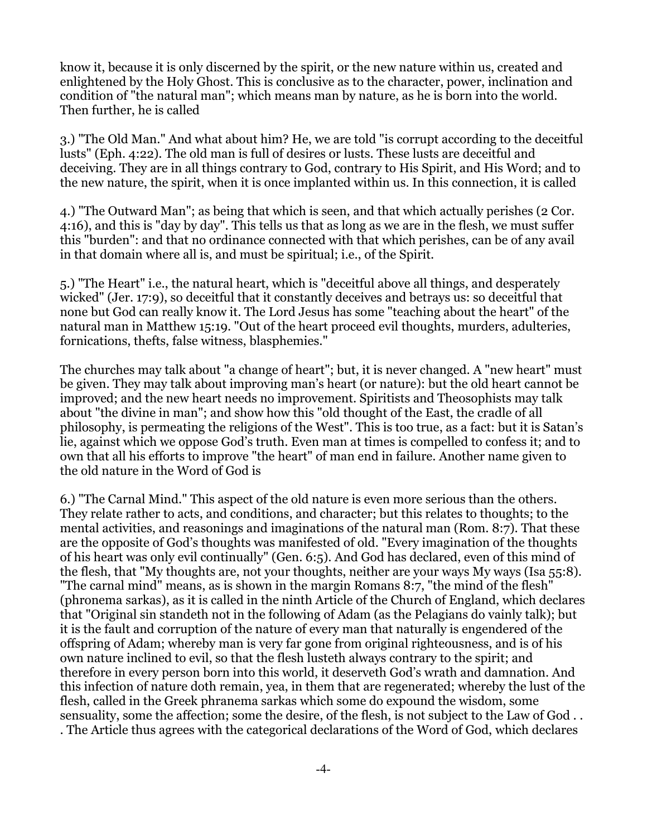know it, because it is only discerned by the spirit, or the new nature within us, created and enlightened by the Holy Ghost. This is conclusive as to the character, power, inclination and condition of "the natural man"; which means man by nature, as he is born into the world. Then further, he is called

3.) "The Old Man." And what about him? He, we are told "is corrupt according to the deceitful lusts" (Eph. 4:22). The old man is full of desires or lusts. These lusts are deceitful and deceiving. They are in all things contrary to God, contrary to His Spirit, and His Word; and to the new nature, the spirit, when it is once implanted within us. In this connection, it is called

4.) "The Outward Man"; as being that which is seen, and that which actually perishes (2 Cor. 4:16), and this is "day by day". This tells us that as long as we are in the flesh, we must suffer this "burden": and that no ordinance connected with that which perishes, can be of any avail in that domain where all is, and must be spiritual; i.e., of the Spirit.

5.) "The Heart" i.e., the natural heart, which is "deceitful above all things, and desperately wicked" (Jer. 17:9), so deceitful that it constantly deceives and betrays us: so deceitful that none but God can really know it. The Lord Jesus has some "teaching about the heart" of the natural man in Matthew 15:19. "Out of the heart proceed evil thoughts, murders, adulteries, fornications, thefts, false witness, blasphemies."

The churches may talk about "a change of heart"; but, it is never changed. A "new heart" must be given. They may talk about improving man's heart (or nature): but the old heart cannot be improved; and the new heart needs no improvement. Spiritists and Theosophists may talk about "the divine in man"; and show how this "old thought of the East, the cradle of all philosophy, is permeating the religions of the West". This is too true, as a fact: but it is Satan's lie, against which we oppose God's truth. Even man at times is compelled to confess it; and to own that all his efforts to improve "the heart" of man end in failure. Another name given to the old nature in the Word of God is

6.) "The Carnal Mind." This aspect of the old nature is even more serious than the others. They relate rather to acts, and conditions, and character; but this relates to thoughts; to the mental activities, and reasonings and imaginations of the natural man (Rom. 8:7). That these are the opposite of God's thoughts was manifested of old. "Every imagination of the thoughts of his heart was only evil continually" (Gen. 6:5). And God has declared, even of this mind of the flesh, that "My thoughts are, not your thoughts, neither are your ways My ways (Isa 55:8). "The carnal mind" means, as is shown in the margin Romans 8:7, "the mind of the flesh" (phronema sarkas), as it is called in the ninth Article of the Church of England, which declares that "Original sin standeth not in the following of Adam (as the Pelagians do vainly talk); but it is the fault and corruption of the nature of every man that naturally is engendered of the offspring of Adam; whereby man is very far gone from original righteousness, and is of his own nature inclined to evil, so that the flesh lusteth always contrary to the spirit; and therefore in every person born into this world, it deserveth God's wrath and damnation. And this infection of nature doth remain, yea, in them that are regenerated; whereby the lust of the flesh, called in the Greek phranema sarkas which some do expound the wisdom, some sensuality, some the affection; some the desire, of the flesh, is not subject to the Law of God . . . The Article thus agrees with the categorical declarations of the Word of God, which declares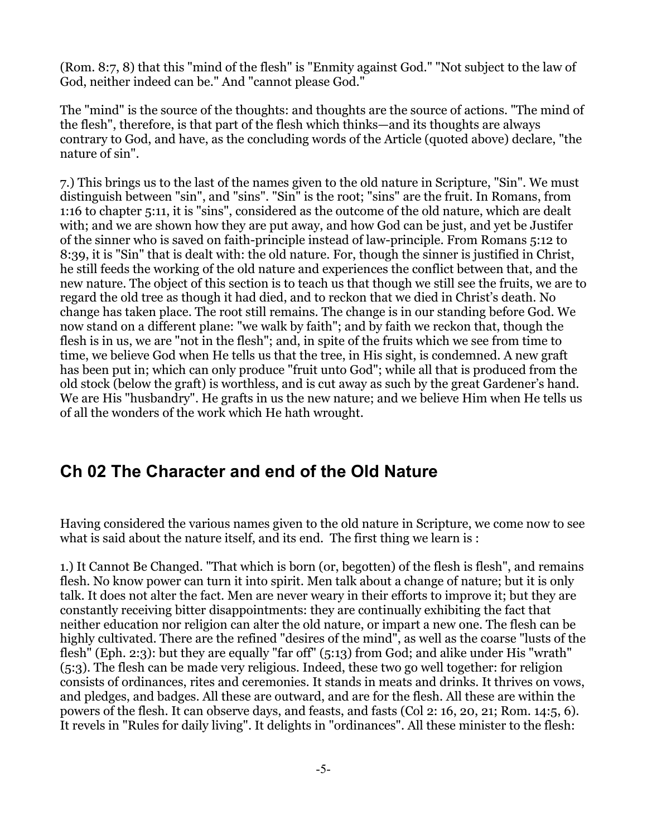(Rom. 8:7, 8) that this "mind of the flesh" is "Enmity against God." "Not subject to the law of God, neither indeed can be." And "cannot please God."

The "mind" is the source of the thoughts: and thoughts are the source of actions. "The mind of the flesh", therefore, is that part of the flesh which thinks—and its thoughts are always contrary to God, and have, as the concluding words of the Article (quoted above) declare, "the nature of sin".

7.) This brings us to the last of the names given to the old nature in Scripture, "Sin". We must distinguish between "sin", and "sins". "Sin" is the root; "sins" are the fruit. In Romans, from 1:16 to chapter 5:11, it is "sins", considered as the outcome of the old nature, which are dealt with; and we are shown how they are put away, and how God can be just, and yet be Justifer of the sinner who is saved on faith-principle instead of law-principle. From Romans 5:12 to 8:39, it is "Sin" that is dealt with: the old nature. For, though the sinner is justified in Christ, he still feeds the working of the old nature and experiences the conflict between that, and the new nature. The object of this section is to teach us that though we still see the fruits, we are to regard the old tree as though it had died, and to reckon that we died in Christ's death. No change has taken place. The root still remains. The change is in our standing before God. We now stand on a different plane: "we walk by faith"; and by faith we reckon that, though the flesh is in us, we are "not in the flesh"; and, in spite of the fruits which we see from time to time, we believe God when He tells us that the tree, in His sight, is condemned. A new graft has been put in; which can only produce "fruit unto God"; while all that is produced from the old stock (below the graft) is worthless, and is cut away as such by the great Gardener's hand. We are His "husbandry". He grafts in us the new nature; and we believe Him when He tells us of all the wonders of the work which He hath wrought.

## <span id="page-4-0"></span>**Ch 02 The Character and end of the Old Nature**

Having considered the various names given to the old nature in Scripture, we come now to see what is said about the nature itself, and its end. The first thing we learn is :

1.) It Cannot Be Changed. "That which is born (or, begotten) of the flesh is flesh", and remains flesh. No know power can turn it into spirit. Men talk about a change of nature; but it is only talk. It does not alter the fact. Men are never weary in their efforts to improve it; but they are constantly receiving bitter disappointments: they are continually exhibiting the fact that neither education nor religion can alter the old nature, or impart a new one. The flesh can be highly cultivated. There are the refined "desires of the mind", as well as the coarse "lusts of the flesh" (Eph. 2:3): but they are equally "far off" (5:13) from God; and alike under His "wrath" (5:3). The flesh can be made very religious. Indeed, these two go well together: for religion consists of ordinances, rites and ceremonies. It stands in meats and drinks. It thrives on vows, and pledges, and badges. All these are outward, and are for the flesh. All these are within the powers of the flesh. It can observe days, and feasts, and fasts (Col 2: 16, 20, 21; Rom. 14:5, 6). It revels in "Rules for daily living". It delights in "ordinances". All these minister to the flesh: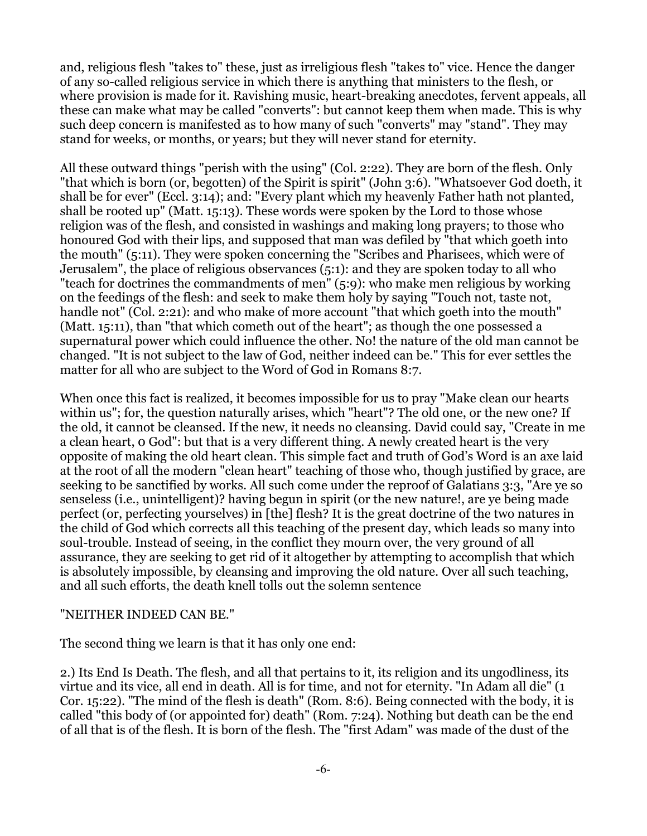and, religious flesh "takes to" these, just as irreligious flesh "takes to" vice. Hence the danger of any so-called religious service in which there is anything that ministers to the flesh, or where provision is made for it. Ravishing music, heart-breaking anecdotes, fervent appeals, all these can make what may be called "converts": but cannot keep them when made. This is why such deep concern is manifested as to how many of such "converts" may "stand". They may stand for weeks, or months, or years; but they will never stand for eternity.

All these outward things "perish with the using" (Col. 2:22). They are born of the flesh. Only "that which is born (or, begotten) of the Spirit is spirit" (John 3:6). "Whatsoever God doeth, it shall be for ever" (Eccl. 3:14); and: "Every plant which my heavenly Father hath not planted, shall be rooted up" (Matt. 15:13). These words were spoken by the Lord to those whose religion was of the flesh, and consisted in washings and making long prayers; to those who honoured God with their lips, and supposed that man was defiled by "that which goeth into the mouth" (5:11). They were spoken concerning the "Scribes and Pharisees, which were of Jerusalem", the place of religious observances (5:1): and they are spoken today to all who "teach for doctrines the commandments of men" (5:9): who make men religious by working on the feedings of the flesh: and seek to make them holy by saying "Touch not, taste not, handle not" (Col. 2:21): and who make of more account "that which goeth into the mouth" (Matt. 15:11), than "that which cometh out of the heart"; as though the one possessed a supernatural power which could influence the other. No! the nature of the old man cannot be changed. "It is not subject to the law of God, neither indeed can be." This for ever settles the matter for all who are subject to the Word of God in Romans 8:7.

When once this fact is realized, it becomes impossible for us to pray "Make clean our hearts within us"; for, the question naturally arises, which "heart"? The old one, or the new one? If the old, it cannot be cleansed. If the new, it needs no cleansing. David could say, "Create in me a clean heart, 0 God": but that is a very different thing. A newly created heart is the very opposite of making the old heart clean. This simple fact and truth of God's Word is an axe laid at the root of all the modern "clean heart" teaching of those who, though justified by grace, are seeking to be sanctified by works. All such come under the reproof of Galatians 3:3, "Are ye so senseless (i.e., unintelligent)? having begun in spirit (or the new nature!, are ye being made perfect (or, perfecting yourselves) in [the] flesh? It is the great doctrine of the two natures in the child of God which corrects all this teaching of the present day, which leads so many into soul-trouble. Instead of seeing, in the conflict they mourn over, the very ground of all assurance, they are seeking to get rid of it altogether by attempting to accomplish that which is absolutely impossible, by cleansing and improving the old nature. Over all such teaching, and all such efforts, the death knell tolls out the solemn sentence

#### "NEITHER INDEED CAN BE."

The second thing we learn is that it has only one end:

2.) Its End Is Death. The flesh, and all that pertains to it, its religion and its ungodliness, its virtue and its vice, all end in death. All is for time, and not for eternity. "In Adam all die" (1 Cor. 15:22). "The mind of the flesh is death" (Rom. 8:6). Being connected with the body, it is called "this body of (or appointed for) death" (Rom. 7:24). Nothing but death can be the end of all that is of the flesh. It is born of the flesh. The "first Adam" was made of the dust of the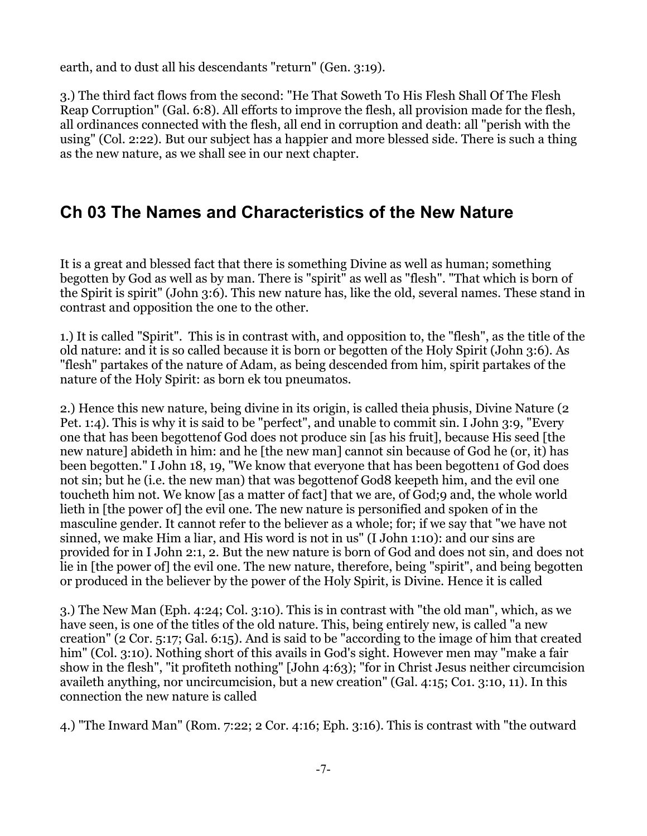earth, and to dust all his descendants "return" (Gen. 3:19).

3.) The third fact flows from the second: "He That Soweth To His Flesh Shall Of The Flesh Reap Corruption" (Gal. 6:8). All efforts to improve the flesh, all provision made for the flesh, all ordinances connected with the flesh, all end in corruption and death: all "perish with the using" (Col. 2:22). But our subject has a happier and more blessed side. There is such a thing as the new nature, as we shall see in our next chapter.

# <span id="page-6-0"></span>**Ch 03 The Names and Characteristics of the New Nature**

It is a great and blessed fact that there is something Divine as well as human; something begotten by God as well as by man. There is "spirit" as well as "flesh". "That which is born of the Spirit is spirit" (John 3:6). This new nature has, like the old, several names. These stand in contrast and opposition the one to the other.

1.) It is called "Spirit". This is in contrast with, and opposition to, the "flesh", as the title of the old nature: and it is so called because it is born or begotten of the Holy Spirit (John 3:6). As "flesh" partakes of the nature of Adam, as being descended from him, spirit partakes of the nature of the Holy Spirit: as born ek tou pneumatos.

2.) Hence this new nature, being divine in its origin, is called theia phusis, Divine Nature (2 Pet. 1:4). This is why it is said to be "perfect", and unable to commit sin. I John 3:9, "Every one that has been begottenof God does not produce sin [as his fruit], because His seed [the new nature] abideth in him: and he [the new man] cannot sin because of God he (or, it) has been begotten." I John 18, 19, "We know that everyone that has been begotten1 of God does not sin; but he (i.e. the new man) that was begottenof God8 keepeth him, and the evil one toucheth him not. We know [as a matter of fact] that we are, of God;9 and, the whole world lieth in [the power of] the evil one. The new nature is personified and spoken of in the masculine gender. It cannot refer to the believer as a whole; for; if we say that "we have not sinned, we make Him a liar, and His word is not in us" (I John 1:10): and our sins are provided for in I John 2:1, 2. But the new nature is born of God and does not sin, and does not lie in [the power of] the evil one. The new nature, therefore, being "spirit", and being begotten or produced in the believer by the power of the Holy Spirit, is Divine. Hence it is called

3.) The New Man (Eph. 4:24; Col. 3:10). This is in contrast with "the old man", which, as we have seen, is one of the titles of the old nature. This, being entirely new, is called "a new creation" (2 Cor. 5:17; Gal. 6:15). And is said to be "according to the image of him that created him" (Col. 3:10). Nothing short of this avails in God's sight. However men may "make a fair show in the flesh", "it profiteth nothing" [John 4:63); "for in Christ Jesus neither circumcision availeth anything, nor uncircumcision, but a new creation" (Gal. 4:15; Co1. 3:10, 11). In this connection the new nature is called

4.) "The Inward Man" (Rom. 7:22; 2 Cor. 4:16; Eph. 3:16). This is contrast with "the outward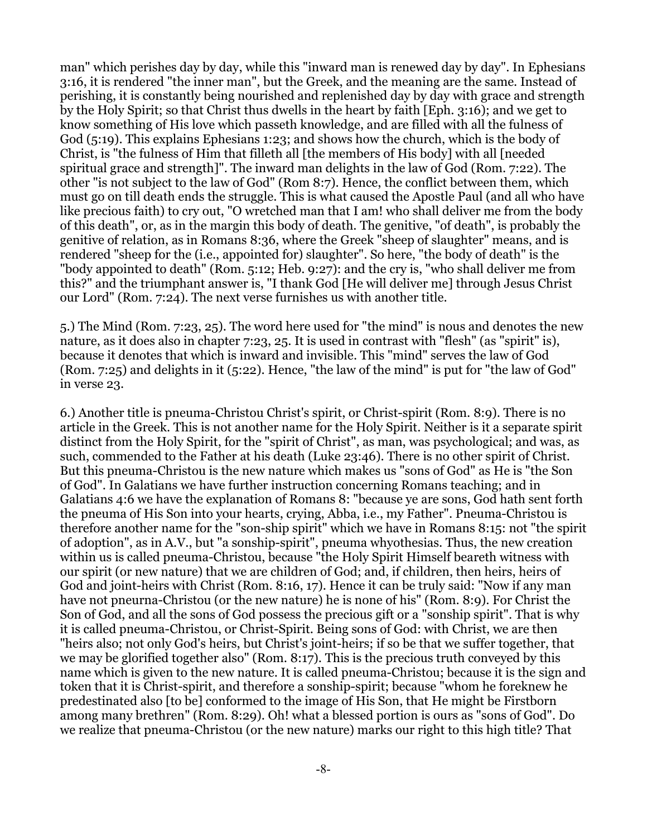man" which perishes day by day, while this "inward man is renewed day by day". In Ephesians 3:16, it is rendered "the inner man", but the Greek, and the meaning are the same. Instead of perishing, it is constantly being nourished and replenished day by day with grace and strength by the Holy Spirit; so that Christ thus dwells in the heart by faith [Eph. 3:16); and we get to know something of His love which passeth knowledge, and are filled with all the fulness of God (5:19). This explains Ephesians 1:23; and shows how the church, which is the body of Christ, is "the fulness of Him that filleth all [the members of His body] with all [needed spiritual grace and strength]". The inward man delights in the law of God (Rom. 7:22). The other "is not subject to the law of God" (Rom 8:7). Hence, the conflict between them, which must go on till death ends the struggle. This is what caused the Apostle Paul (and all who have like precious faith) to cry out, "O wretched man that I am! who shall deliver me from the body of this death", or, as in the margin this body of death. The genitive, "of death", is probably the genitive of relation, as in Romans 8:36, where the Greek "sheep of slaughter" means, and is rendered "sheep for the (i.e., appointed for) slaughter". So here, "the body of death" is the "body appointed to death" (Rom. 5:12; Heb. 9:27): and the cry is, "who shall deliver me from this?" and the triumphant answer is, "I thank God [He will deliver me] through Jesus Christ our Lord" (Rom. 7:24). The next verse furnishes us with another title.

5.) The Mind (Rom. 7:23, 25). The word here used for "the mind" is nous and denotes the new nature, as it does also in chapter 7:23, 25. It is used in contrast with "flesh" (as "spirit" is), because it denotes that which is inward and invisible. This "mind" serves the law of God (Rom. 7:25) and delights in it (5:22). Hence, "the law of the mind" is put for "the law of God" in verse 23.

6.) Another title is pneuma-Christou Christ's spirit, or Christ-spirit (Rom. 8:9). There is no article in the Greek. This is not another name for the Holy Spirit. Neither is it a separate spirit distinct from the Holy Spirit, for the "spirit of Christ", as man, was psychological; and was, as such, commended to the Father at his death (Luke 23:46). There is no other spirit of Christ. But this pneuma-Christou is the new nature which makes us "sons of God" as He is "the Son of God". In Galatians we have further instruction concerning Romans teaching; and in Galatians 4:6 we have the explanation of Romans 8: "because ye are sons, God hath sent forth the pneuma of His Son into your hearts, crying, Abba, i.e., my Father". Pneuma-Christou is therefore another name for the "son-ship spirit" which we have in Romans 8:15: not "the spirit of adoption", as in A.V., but "a sonship-spirit", pneuma whyothesias. Thus, the new creation within us is called pneuma-Christou, because "the Holy Spirit Himself beareth witness with our spirit (or new nature) that we are children of God; and, if children, then heirs, heirs of God and joint-heirs with Christ (Rom. 8:16, 17). Hence it can be truly said: "Now if any man have not pneurna-Christou (or the new nature) he is none of his" (Rom. 8:9). For Christ the Son of God, and all the sons of God possess the precious gift or a "sonship spirit". That is why it is called pneuma-Christou, or Christ-Spirit. Being sons of God: with Christ, we are then "heirs also; not only God's heirs, but Christ's joint-heirs; if so be that we suffer together, that we may be glorified together also" (Rom. 8:17). This is the precious truth conveyed by this name which is given to the new nature. It is called pneuma-Christou; because it is the sign and token that it is Christ-spirit, and therefore a sonship-spirit; because "whom he foreknew he predestinated also [to be] conformed to the image of His Son, that He might be Firstborn among many brethren" (Rom. 8:29). Oh! what a blessed portion is ours as "sons of God". Do we realize that pneuma-Christou (or the new nature) marks our right to this high title? That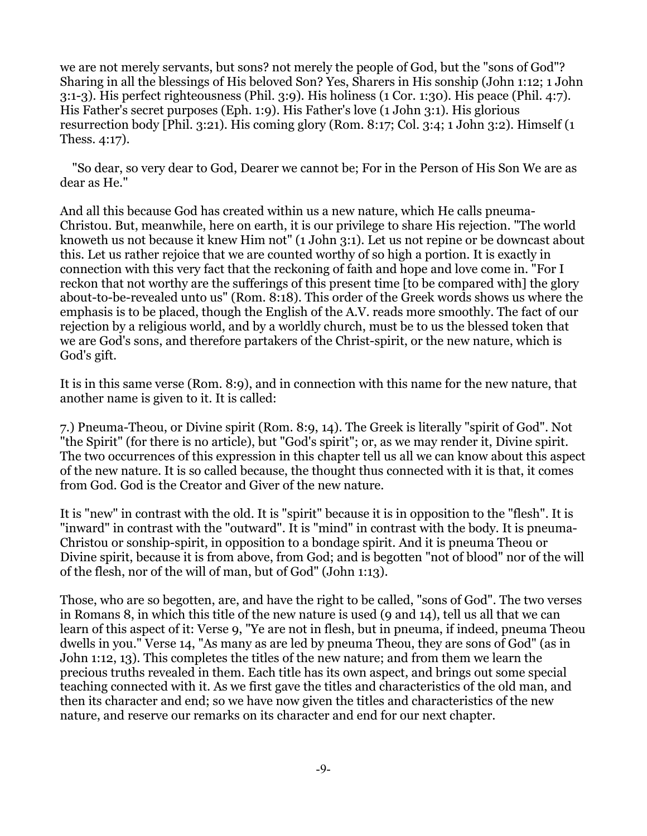we are not merely servants, but sons? not merely the people of God, but the "sons of God"? Sharing in all the blessings of His beloved Son? Yes, Sharers in His sonship (John 1:12; 1 John 3:1-3). His perfect righteousness (Phil. 3:9). His holiness (1 Cor. 1:30). His peace (Phil. 4:7). His Father's secret purposes (Eph. 1:9). His Father's love (1 John 3:1). His glorious resurrection body [Phil. 3:21). His coming glory (Rom. 8:17; Col. 3:4; 1 John 3:2). Himself (1 Thess. 4:17).

 "So dear, so very dear to God, Dearer we cannot be; For in the Person of His Son We are as dear as He."

And all this because God has created within us a new nature, which He calls pneuma-Christou. But, meanwhile, here on earth, it is our privilege to share His rejection. "The world knoweth us not because it knew Him not" (1 John 3:1). Let us not repine or be downcast about this. Let us rather rejoice that we are counted worthy of so high a portion. It is exactly in connection with this very fact that the reckoning of faith and hope and love come in. "For I reckon that not worthy are the sufferings of this present time [to be compared with] the glory about-to-be-revealed unto us" (Rom. 8:18). This order of the Greek words shows us where the emphasis is to be placed, though the English of the A.V. reads more smoothly. The fact of our rejection by a religious world, and by a worldly church, must be to us the blessed token that we are God's sons, and therefore partakers of the Christ-spirit, or the new nature, which is God's gift.

It is in this same verse (Rom. 8:9), and in connection with this name for the new nature, that another name is given to it. It is called:

7.) Pneuma-Theou, or Divine spirit (Rom. 8:9, 14). The Greek is literally "spirit of God". Not "the Spirit" (for there is no article), but "God's spirit"; or, as we may render it, Divine spirit. The two occurrences of this expression in this chapter tell us all we can know about this aspect of the new nature. It is so called because, the thought thus connected with it is that, it comes from God. God is the Creator and Giver of the new nature.

It is "new" in contrast with the old. It is "spirit" because it is in opposition to the "flesh". It is "inward" in contrast with the "outward". It is "mind" in contrast with the body. It is pneuma-Christou or sonship-spirit, in opposition to a bondage spirit. And it is pneuma Theou or Divine spirit, because it is from above, from God; and is begotten "not of blood" nor of the will of the flesh, nor of the will of man, but of God" (John 1:13).

Those, who are so begotten, are, and have the right to be called, "sons of God". The two verses in Romans 8, in which this title of the new nature is used (9 and 14), tell us all that we can learn of this aspect of it: Verse 9, "Ye are not in flesh, but in pneuma, if indeed, pneuma Theou dwells in you." Verse 14, "As many as are led by pneuma Theou, they are sons of God" (as in John 1:12, 13). This completes the titles of the new nature; and from them we learn the precious truths revealed in them. Each title has its own aspect, and brings out some special teaching connected with it. As we first gave the titles and characteristics of the old man, and then its character and end; so we have now given the titles and characteristics of the new nature, and reserve our remarks on its character and end for our next chapter.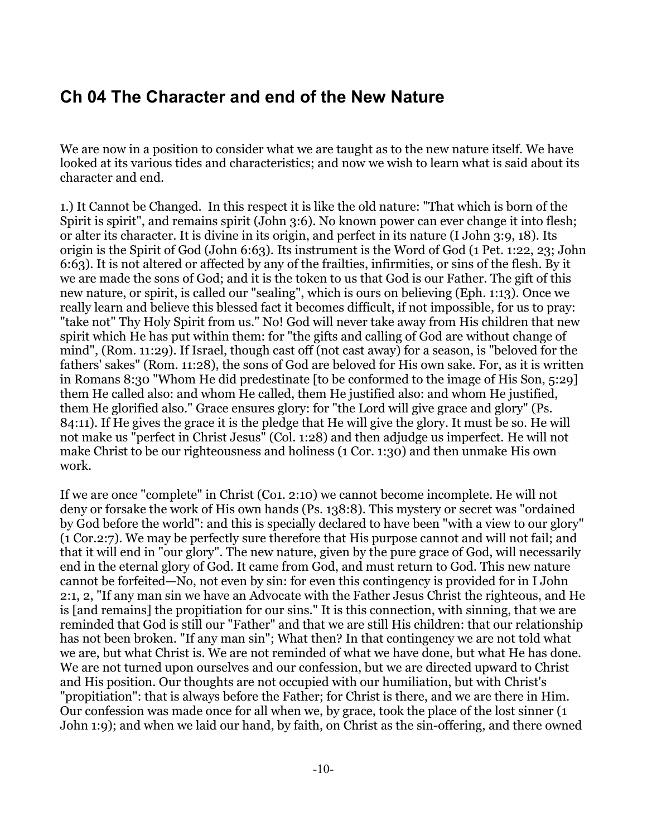## <span id="page-9-0"></span>**Ch 04 The Character and end of the New Nature**

We are now in a position to consider what we are taught as to the new nature itself. We have looked at its various tides and characteristics; and now we wish to learn what is said about its character and end.

1.) It Cannot be Changed. In this respect it is like the old nature: "That which is born of the Spirit is spirit", and remains spirit (John 3:6). No known power can ever change it into flesh; or alter its character. It is divine in its origin, and perfect in its nature (I John 3:9, 18). Its origin is the Spirit of God (John 6:63). Its instrument is the Word of God (1 Pet. 1:22, 23; John 6:63). It is not altered or affected by any of the frailties, infirmities, or sins of the flesh. By it we are made the sons of God; and it is the token to us that God is our Father. The gift of this new nature, or spirit, is called our "sealing", which is ours on believing (Eph. 1:13). Once we really learn and believe this blessed fact it becomes difficult, if not impossible, for us to pray: "take not" Thy Holy Spirit from us." No! God will never take away from His children that new spirit which He has put within them: for "the gifts and calling of God are without change of mind", (Rom. 11:29). If Israel, though cast off (not cast away) for a season, is "beloved for the fathers' sakes" (Rom. 11:28), the sons of God are beloved for His own sake. For, as it is written in Romans 8:30 "Whom He did predestinate [to be conformed to the image of His Son, 5:29] them He called also: and whom He called, them He justified also: and whom He justified, them He glorified also." Grace ensures glory: for "the Lord will give grace and glory" (Ps. 84:11). If He gives the grace it is the pledge that He will give the glory. It must be so. He will not make us "perfect in Christ Jesus" (Col. 1:28) and then adjudge us imperfect. He will not make Christ to be our righteousness and holiness (1 Cor. 1:30) and then unmake His own work.

If we are once "complete" in Christ (Co1. 2:10) we cannot become incomplete. He will not deny or forsake the work of His own hands (Ps. 138:8). This mystery or secret was "ordained by God before the world": and this is specially declared to have been "with a view to our glory" (1 Cor.2:7). We may be perfectly sure therefore that His purpose cannot and will not fail; and that it will end in "our glory". The new nature, given by the pure grace of God, will necessarily end in the eternal glory of God. It came from God, and must return to God. This new nature cannot be forfeited—No, not even by sin: for even this contingency is provided for in I John 2:1, 2, "If any man sin we have an Advocate with the Father Jesus Christ the righteous, and He is [and remains] the propitiation for our sins." It is this connection, with sinning, that we are reminded that God is still our "Father" and that we are still His children: that our relationship has not been broken. "If any man sin"; What then? In that contingency we are not told what we are, but what Christ is. We are not reminded of what we have done, but what He has done. We are not turned upon ourselves and our confession, but we are directed upward to Christ and His position. Our thoughts are not occupied with our humiliation, but with Christ's "propitiation": that is always before the Father; for Christ is there, and we are there in Him. Our confession was made once for all when we, by grace, took the place of the lost sinner (1 John 1:9); and when we laid our hand, by faith, on Christ as the sin-offering, and there owned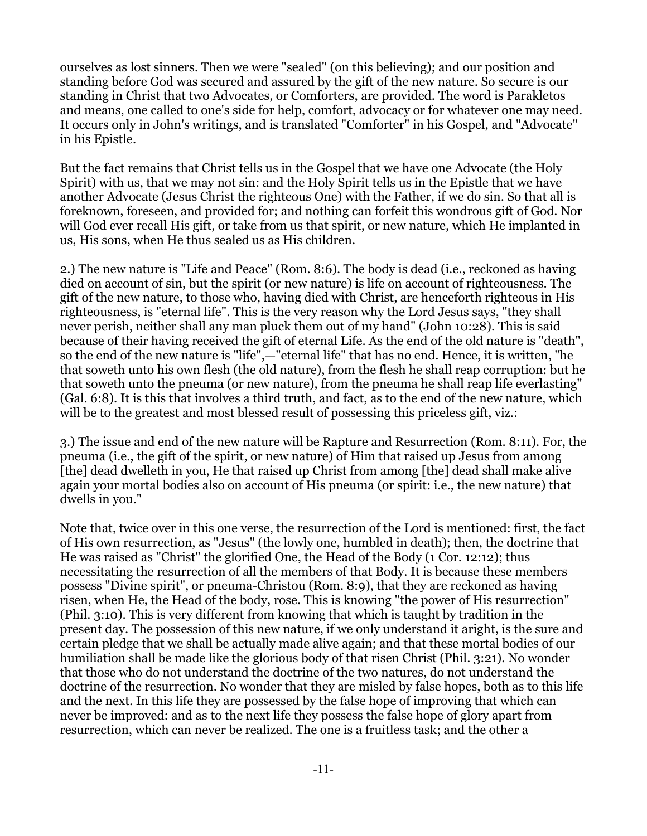ourselves as lost sinners. Then we were "sealed" (on this believing); and our position and standing before God was secured and assured by the gift of the new nature. So secure is our standing in Christ that two Advocates, or Comforters, are provided. The word is Parakletos and means, one called to one's side for help, comfort, advocacy or for whatever one may need. It occurs only in John's writings, and is translated "Comforter" in his Gospel, and "Advocate" in his Epistle.

But the fact remains that Christ tells us in the Gospel that we have one Advocate (the Holy Spirit) with us, that we may not sin: and the Holy Spirit tells us in the Epistle that we have another Advocate (Jesus Christ the righteous One) with the Father, if we do sin. So that all is foreknown, foreseen, and provided for; and nothing can forfeit this wondrous gift of God. Nor will God ever recall His gift, or take from us that spirit, or new nature, which He implanted in us, His sons, when He thus sealed us as His children.

2.) The new nature is "Life and Peace" (Rom. 8:6). The body is dead (i.e., reckoned as having died on account of sin, but the spirit (or new nature) is life on account of righteousness. The gift of the new nature, to those who, having died with Christ, are henceforth righteous in His righteousness, is "eternal life". This is the very reason why the Lord Jesus says, "they shall never perish, neither shall any man pluck them out of my hand" (John 10:28). This is said because of their having received the gift of eternal Life. As the end of the old nature is "death", so the end of the new nature is "life",—"eternal life" that has no end. Hence, it is written, "he that soweth unto his own flesh (the old nature), from the flesh he shall reap corruption: but he that soweth unto the pneuma (or new nature), from the pneuma he shall reap life everlasting" (Gal. 6:8). It is this that involves a third truth, and fact, as to the end of the new nature, which will be to the greatest and most blessed result of possessing this priceless gift, viz.:

3.) The issue and end of the new nature will be Rapture and Resurrection (Rom. 8:11). For, the pneuma (i.e., the gift of the spirit, or new nature) of Him that raised up Jesus from among [the] dead dwelleth in you, He that raised up Christ from among [the] dead shall make alive again your mortal bodies also on account of His pneuma (or spirit: i.e., the new nature) that dwells in you."

Note that, twice over in this one verse, the resurrection of the Lord is mentioned: first, the fact of His own resurrection, as "Jesus" (the lowly one, humbled in death); then, the doctrine that He was raised as "Christ" the glorified One, the Head of the Body (1 Cor. 12:12); thus necessitating the resurrection of all the members of that Body. It is because these members possess "Divine spirit", or pneuma-Christou (Rom. 8:9), that they are reckoned as having risen, when He, the Head of the body, rose. This is knowing "the power of His resurrection" (Phil. 3:10). This is very different from knowing that which is taught by tradition in the present day. The possession of this new nature, if we only understand it aright, is the sure and certain pledge that we shall be actually made alive again; and that these mortal bodies of our humiliation shall be made like the glorious body of that risen Christ (Phil. 3:21). No wonder that those who do not understand the doctrine of the two natures, do not understand the doctrine of the resurrection. No wonder that they are misled by false hopes, both as to this life and the next. In this life they are possessed by the false hope of improving that which can never be improved: and as to the next life they possess the false hope of glory apart from resurrection, which can never be realized. The one is a fruitless task; and the other a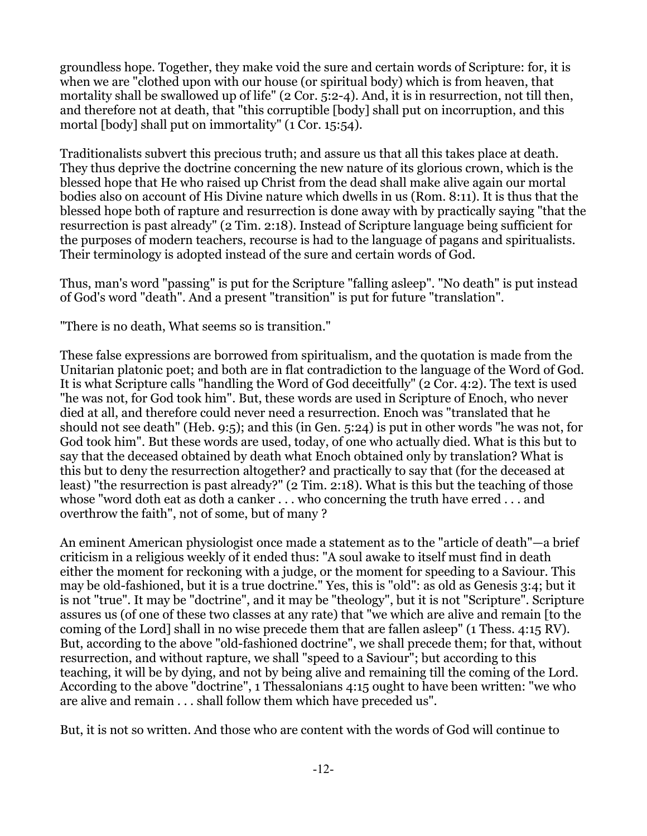groundless hope. Together, they make void the sure and certain words of Scripture: for, it is when we are "clothed upon with our house (or spiritual body) which is from heaven, that mortality shall be swallowed up of life" (2 Cor. 5:2-4). And, it is in resurrection, not till then, and therefore not at death, that "this corruptible [body] shall put on incorruption, and this mortal [body] shall put on immortality" (1 Cor. 15:54).

Traditionalists subvert this precious truth; and assure us that all this takes place at death. They thus deprive the doctrine concerning the new nature of its glorious crown, which is the blessed hope that He who raised up Christ from the dead shall make alive again our mortal bodies also on account of His Divine nature which dwells in us (Rom. 8:11). It is thus that the blessed hope both of rapture and resurrection is done away with by practically saying "that the resurrection is past already" (2 Tim. 2:18). Instead of Scripture language being sufficient for the purposes of modern teachers, recourse is had to the language of pagans and spiritualists. Their terminology is adopted instead of the sure and certain words of God.

Thus, man's word "passing" is put for the Scripture "falling asleep". "No death" is put instead of God's word "death". And a present "transition" is put for future "translation".

"There is no death, What seems so is transition."

These false expressions are borrowed from spiritualism, and the quotation is made from the Unitarian platonic poet; and both are in flat contradiction to the language of the Word of God. It is what Scripture calls "handling the Word of God deceitfully" (2 Cor. 4:2). The text is used "he was not, for God took him". But, these words are used in Scripture of Enoch, who never died at all, and therefore could never need a resurrection. Enoch was "translated that he should not see death" (Heb. 9:5); and this (in Gen. 5:24) is put in other words "he was not, for God took him". But these words are used, today, of one who actually died. What is this but to say that the deceased obtained by death what Enoch obtained only by translation? What is this but to deny the resurrection altogether? and practically to say that (for the deceased at least) "the resurrection is past already?" (2 Tim. 2:18). What is this but the teaching of those whose "word doth eat as doth a canker . . . who concerning the truth have erred . . . and overthrow the faith", not of some, but of many ?

An eminent American physiologist once made a statement as to the "article of death"—a brief criticism in a religious weekly of it ended thus: "A soul awake to itself must find in death either the moment for reckoning with a judge, or the moment for speeding to a Saviour. This may be old-fashioned, but it is a true doctrine." Yes, this is "old": as old as Genesis 3:4; but it is not "true". It may be "doctrine", and it may be "theology", but it is not "Scripture". Scripture assures us (of one of these two classes at any rate) that "we which are alive and remain [to the coming of the Lord] shall in no wise precede them that are fallen asleep" (1 Thess. 4:15 RV). But, according to the above "old-fashioned doctrine", we shall precede them; for that, without resurrection, and without rapture, we shall "speed to a Saviour"; but according to this teaching, it will be by dying, and not by being alive and remaining till the coming of the Lord. According to the above "doctrine", 1 Thessalonians 4:15 ought to have been written: "we who are alive and remain . . . shall follow them which have preceded us".

But, it is not so written. And those who are content with the words of God will continue to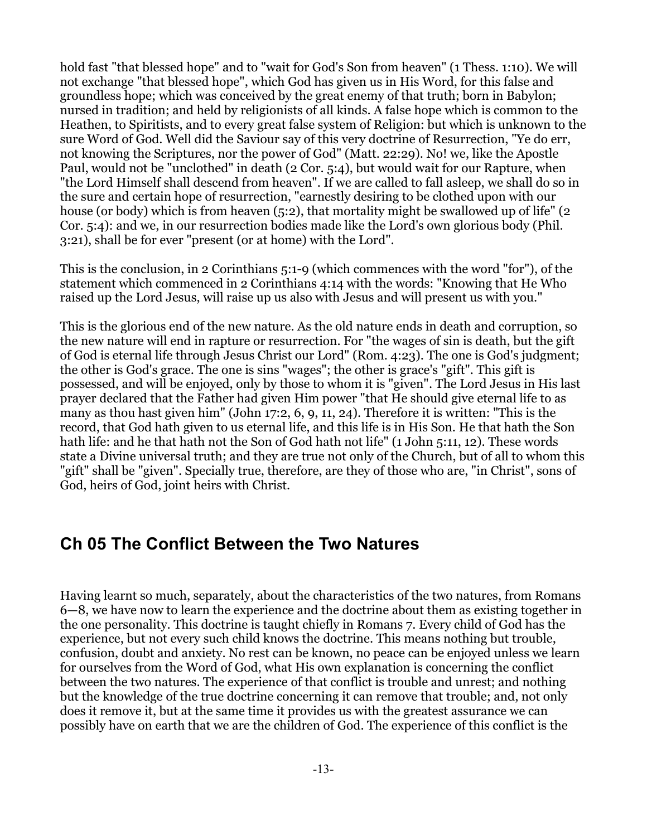hold fast "that blessed hope" and to "wait for God's Son from heaven" (1 Thess. 1:10). We will not exchange "that blessed hope", which God has given us in His Word, for this false and groundless hope; which was conceived by the great enemy of that truth; born in Babylon; nursed in tradition; and held by religionists of all kinds. A false hope which is common to the Heathen, to Spiritists, and to every great false system of Religion: but which is unknown to the sure Word of God. Well did the Saviour say of this very doctrine of Resurrection, "Ye do err, not knowing the Scriptures, nor the power of God" (Matt. 22:29). No! we, like the Apostle Paul, would not be "unclothed" in death (2 Cor. 5:4), but would wait for our Rapture, when "the Lord Himself shall descend from heaven". If we are called to fall asleep, we shall do so in the sure and certain hope of resurrection, "earnestly desiring to be clothed upon with our house (or body) which is from heaven (5:2), that mortality might be swallowed up of life" (2) Cor. 5:4): and we, in our resurrection bodies made like the Lord's own glorious body (Phil. 3:21), shall be for ever "present (or at home) with the Lord".

This is the conclusion, in 2 Corinthians 5:1-9 (which commences with the word "for"), of the statement which commenced in 2 Corinthians 4:14 with the words: "Knowing that He Who raised up the Lord Jesus, will raise up us also with Jesus and will present us with you."

This is the glorious end of the new nature. As the old nature ends in death and corruption, so the new nature will end in rapture or resurrection. For "the wages of sin is death, but the gift of God is eternal life through Jesus Christ our Lord" (Rom. 4:23). The one is God's judgment; the other is God's grace. The one is sins "wages"; the other is grace's "gift". This gift is possessed, and will be enjoyed, only by those to whom it is "given". The Lord Jesus in His last prayer declared that the Father had given Him power "that He should give eternal life to as many as thou hast given him" (John 17:2, 6, 9, 11, 24). Therefore it is written: "This is the record, that God hath given to us eternal life, and this life is in His Son. He that hath the Son hath life: and he that hath not the Son of God hath not life" (1 John 5:11, 12). These words state a Divine universal truth; and they are true not only of the Church, but of all to whom this "gift" shall be "given". Specially true, therefore, are they of those who are, "in Christ", sons of God, heirs of God, joint heirs with Christ.

### <span id="page-12-0"></span>**Ch 05 The Conflict Between the Two Natures**

Having learnt so much, separately, about the characteristics of the two natures, from Romans 6—8, we have now to learn the experience and the doctrine about them as existing together in the one personality. This doctrine is taught chiefly in Romans 7. Every child of God has the experience, but not every such child knows the doctrine. This means nothing but trouble, confusion, doubt and anxiety. No rest can be known, no peace can be enjoyed unless we learn for ourselves from the Word of God, what His own explanation is concerning the conflict between the two natures. The experience of that conflict is trouble and unrest; and nothing but the knowledge of the true doctrine concerning it can remove that trouble; and, not only does it remove it, but at the same time it provides us with the greatest assurance we can possibly have on earth that we are the children of God. The experience of this conflict is the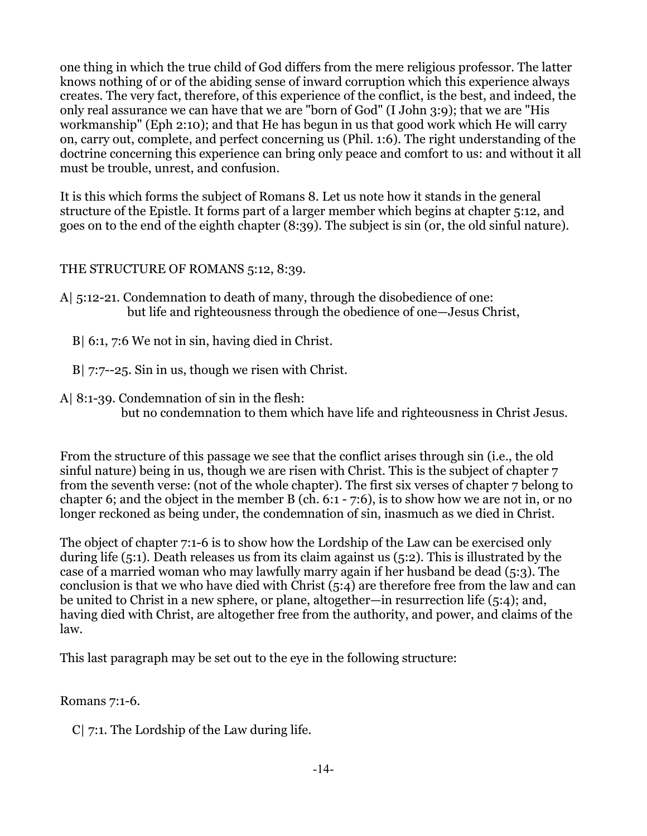one thing in which the true child of God differs from the mere religious professor. The latter knows nothing of or of the abiding sense of inward corruption which this experience always creates. The very fact, therefore, of this experience of the conflict, is the best, and indeed, the only real assurance we can have that we are "born of God" (I John 3:9); that we are "His workmanship" (Eph 2:10); and that He has begun in us that good work which He will carry on, carry out, complete, and perfect concerning us (Phil. 1:6). The right understanding of the doctrine concerning this experience can bring only peace and comfort to us: and without it all must be trouble, unrest, and confusion.

It is this which forms the subject of Romans 8. Let us note how it stands in the general structure of the Epistle. It forms part of a larger member which begins at chapter 5:12, and goes on to the end of the eighth chapter (8:39). The subject is sin (or, the old sinful nature).

#### THE STRUCTURE OF ROMANS 5:12, 8:39.

- A| 5:12-21. Condemnation to death of many, through the disobedience of one: but life and righteousness through the obedience of one—Jesus Christ,
	- B| 6:1, 7:6 We not in sin, having died in Christ.
	- B| 7:7--25. Sin in us, though we risen with Christ.
- A| 8:1-39. Condemnation of sin in the flesh: but no condemnation to them which have life and righteousness in Christ Jesus.

From the structure of this passage we see that the conflict arises through sin (i.e., the old sinful nature) being in us, though we are risen with Christ. This is the subject of chapter 7 from the seventh verse: (not of the whole chapter). The first six verses of chapter 7 belong to chapter 6; and the object in the member B (ch. 6:1 - 7:6), is to show how we are not in, or no longer reckoned as being under, the condemnation of sin, inasmuch as we died in Christ.

The object of chapter 7:1-6 is to show how the Lordship of the Law can be exercised only during life (5:1). Death releases us from its claim against us (5:2). This is illustrated by the case of a married woman who may lawfully marry again if her husband be dead (5:3). The conclusion is that we who have died with Christ (5:4) are therefore free from the law and can be united to Christ in a new sphere, or plane, altogether—in resurrection life (5:4); and, having died with Christ, are altogether free from the authority, and power, and claims of the law.

This last paragraph may be set out to the eye in the following structure:

Romans 7:1-6.

C| 7:1. The Lordship of the Law during life.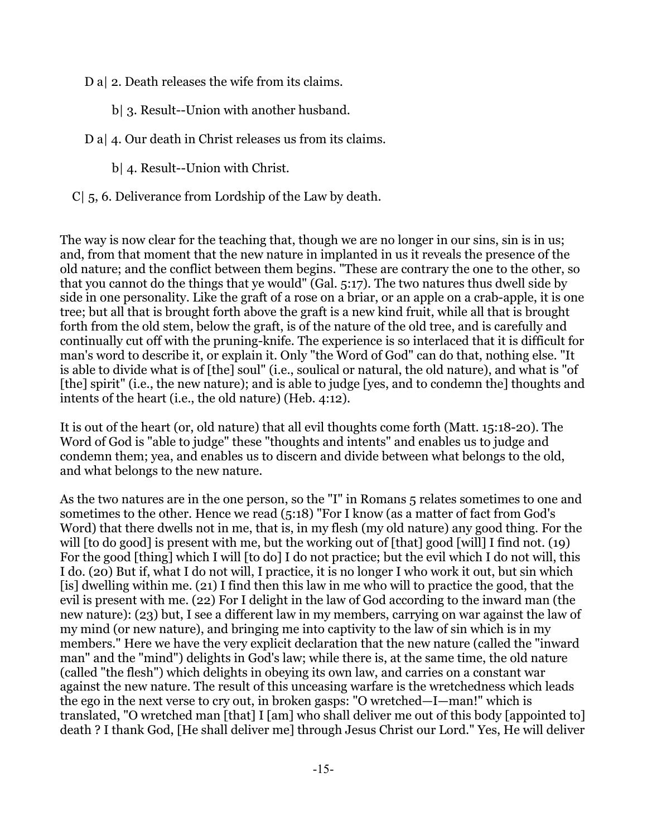D a| 2. Death releases the wife from its claims.

- b| 3. Result--Union with another husband.
- D a| 4. Our death in Christ releases us from its claims.
	- b| 4. Result--Union with Christ.
- C| 5, 6. Deliverance from Lordship of the Law by death.

The way is now clear for the teaching that, though we are no longer in our sins, sin is in us; and, from that moment that the new nature in implanted in us it reveals the presence of the old nature; and the conflict between them begins. "These are contrary the one to the other, so that you cannot do the things that ye would" (Gal. 5:17). The two natures thus dwell side by side in one personality. Like the graft of a rose on a briar, or an apple on a crab-apple, it is one tree; but all that is brought forth above the graft is a new kind fruit, while all that is brought forth from the old stem, below the graft, is of the nature of the old tree, and is carefully and continually cut off with the pruning-knife. The experience is so interlaced that it is difficult for man's word to describe it, or explain it. Only "the Word of God" can do that, nothing else. "It is able to divide what is of [the] soul" (i.e., soulical or natural, the old nature), and what is "of [the] spirit" (i.e., the new nature); and is able to judge [yes, and to condemn the] thoughts and intents of the heart (i.e., the old nature) (Heb. 4:12).

It is out of the heart (or, old nature) that all evil thoughts come forth (Matt. 15:18-20). The Word of God is "able to judge" these "thoughts and intents" and enables us to judge and condemn them; yea, and enables us to discern and divide between what belongs to the old, and what belongs to the new nature.

As the two natures are in the one person, so the "I" in Romans 5 relates sometimes to one and sometimes to the other. Hence we read (5:18) "For I know (as a matter of fact from God's Word) that there dwells not in me, that is, in my flesh (my old nature) any good thing. For the will [to do good] is present with me, but the working out of [that] good [will] I find not. (19) For the good [thing] which I will [to do] I do not practice; but the evil which I do not will, this I do. (20) But if, what I do not will, I practice, it is no longer I who work it out, but sin which [is] dwelling within me. (21) I find then this law in me who will to practice the good, that the evil is present with me. (22) For I delight in the law of God according to the inward man (the new nature): (23) but, I see a different law in my members, carrying on war against the law of my mind (or new nature), and bringing me into captivity to the law of sin which is in my members." Here we have the very explicit declaration that the new nature (called the "inward man" and the "mind") delights in God's law; while there is, at the same time, the old nature (called "the flesh") which delights in obeying its own law, and carries on a constant war against the new nature. The result of this unceasing warfare is the wretchedness which leads the ego in the next verse to cry out, in broken gasps: "O wretched—I—man!" which is translated, "O wretched man [that] I [am] who shall deliver me out of this body [appointed to] death ? I thank God, [He shall deliver me] through Jesus Christ our Lord." Yes, He will deliver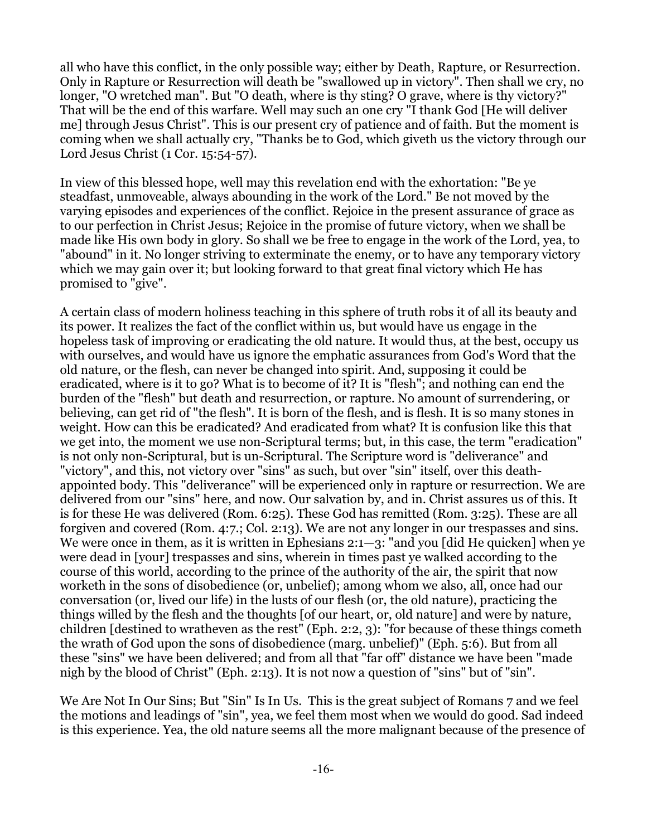all who have this conflict, in the only possible way; either by Death, Rapture, or Resurrection. Only in Rapture or Resurrection will death be "swallowed up in victory". Then shall we cry, no longer, "O wretched man". But "O death, where is thy sting? O grave, where is thy victory?" That will be the end of this warfare. Well may such an one cry "I thank God [He will deliver me] through Jesus Christ". This is our present cry of patience and of faith. But the moment is coming when we shall actually cry, "Thanks be to God, which giveth us the victory through our Lord Jesus Christ (1 Cor. 15:54-57).

In view of this blessed hope, well may this revelation end with the exhortation: "Be ye steadfast, unmoveable, always abounding in the work of the Lord." Be not moved by the varying episodes and experiences of the conflict. Rejoice in the present assurance of grace as to our perfection in Christ Jesus; Rejoice in the promise of future victory, when we shall be made like His own body in glory. So shall we be free to engage in the work of the Lord, yea, to "abound" in it. No longer striving to exterminate the enemy, or to have any temporary victory which we may gain over it; but looking forward to that great final victory which He has promised to "give".

A certain class of modern holiness teaching in this sphere of truth robs it of all its beauty and its power. It realizes the fact of the conflict within us, but would have us engage in the hopeless task of improving or eradicating the old nature. It would thus, at the best, occupy us with ourselves, and would have us ignore the emphatic assurances from God's Word that the old nature, or the flesh, can never be changed into spirit. And, supposing it could be eradicated, where is it to go? What is to become of it? It is "flesh"; and nothing can end the burden of the "flesh" but death and resurrection, or rapture. No amount of surrendering, or believing, can get rid of "the flesh". It is born of the flesh, and is flesh. It is so many stones in weight. How can this be eradicated? And eradicated from what? It is confusion like this that we get into, the moment we use non-Scriptural terms; but, in this case, the term "eradication" is not only non-Scriptural, but is un-Scriptural. The Scripture word is "deliverance" and "victory", and this, not victory over "sins" as such, but over "sin" itself, over this deathappointed body. This "deliverance" will be experienced only in rapture or resurrection. We are delivered from our "sins" here, and now. Our salvation by, and in. Christ assures us of this. It is for these He was delivered (Rom. 6:25). These God has remitted (Rom. 3:25). These are all forgiven and covered (Rom. 4:7.; Col. 2:13). We are not any longer in our trespasses and sins. We were once in them, as it is written in Ephesians 2:1—3: "and you [did He quicken] when ye were dead in [your] trespasses and sins, wherein in times past ye walked according to the course of this world, according to the prince of the authority of the air, the spirit that now worketh in the sons of disobedience (or, unbelief); among whom we also, all, once had our conversation (or, lived our life) in the lusts of our flesh (or, the old nature), practicing the things willed by the flesh and the thoughts [of our heart, or, old nature] and were by nature, children [destined to wratheven as the rest" (Eph. 2:2, 3): "for because of these things cometh the wrath of God upon the sons of disobedience (marg. unbelief)" (Eph. 5:6). But from all these "sins" we have been delivered; and from all that "far off" distance we have been "made nigh by the blood of Christ" (Eph. 2:13). It is not now a question of "sins" but of "sin".

We Are Not In Our Sins; But "Sin" Is In Us. This is the great subject of Romans 7 and we feel the motions and leadings of "sin", yea, we feel them most when we would do good. Sad indeed is this experience. Yea, the old nature seems all the more malignant because of the presence of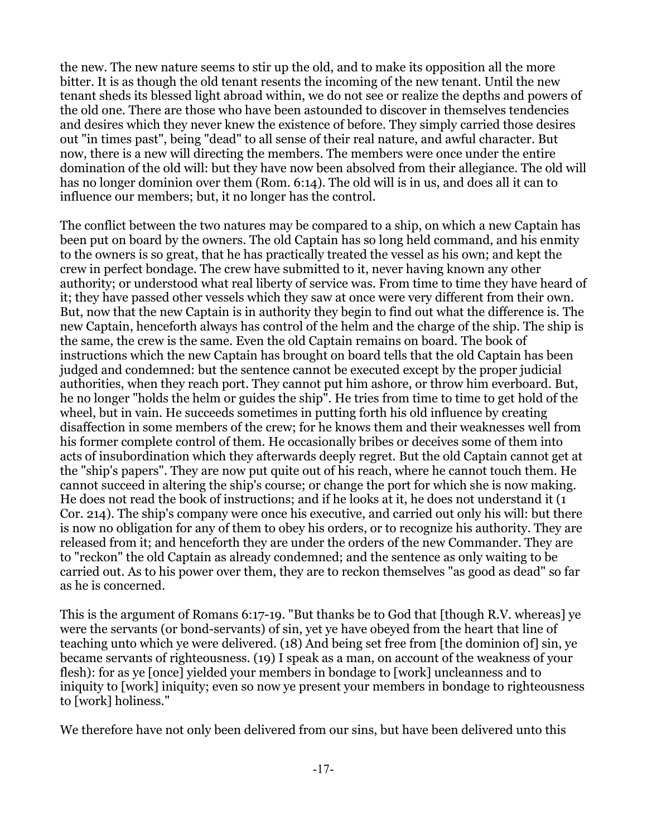the new. The new nature seems to stir up the old, and to make its opposition all the more bitter. It is as though the old tenant resents the incoming of the new tenant. Until the new tenant sheds its blessed light abroad within, we do not see or realize the depths and powers of the old one. There are those who have been astounded to discover in themselves tendencies and desires which they never knew the existence of before. They simply carried those desires out "in times past", being "dead" to all sense of their real nature, and awful character. But now, there is a new will directing the members. The members were once under the entire domination of the old will: but they have now been absolved from their allegiance. The old will has no longer dominion over them (Rom. 6:14). The old will is in us, and does all it can to influence our members; but, it no longer has the control.

The conflict between the two natures may be compared to a ship, on which a new Captain has been put on board by the owners. The old Captain has so long held command, and his enmity to the owners is so great, that he has practically treated the vessel as his own; and kept the crew in perfect bondage. The crew have submitted to it, never having known any other authority; or understood what real liberty of service was. From time to time they have heard of it; they have passed other vessels which they saw at once were very different from their own. But, now that the new Captain is in authority they begin to find out what the difference is. The new Captain, henceforth always has control of the helm and the charge of the ship. The ship is the same, the crew is the same. Even the old Captain remains on board. The book of instructions which the new Captain has brought on board tells that the old Captain has been judged and condemned: but the sentence cannot be executed except by the proper judicial authorities, when they reach port. They cannot put him ashore, or throw him everboard. But, he no longer "holds the helm or guides the ship". He tries from time to time to get hold of the wheel, but in vain. He succeeds sometimes in putting forth his old influence by creating disaffection in some members of the crew; for he knows them and their weaknesses well from his former complete control of them. He occasionally bribes or deceives some of them into acts of insubordination which they afterwards deeply regret. But the old Captain cannot get at the "ship's papers". They are now put quite out of his reach, where he cannot touch them. He cannot succeed in altering the ship's course; or change the port for which she is now making. He does not read the book of instructions; and if he looks at it, he does not understand it (1 Cor. 214). The ship's company were once his executive, and carried out only his will: but there is now no obligation for any of them to obey his orders, or to recognize his authority. They are released from it; and henceforth they are under the orders of the new Commander. They are to "reckon" the old Captain as already condemned; and the sentence as only waiting to be carried out. As to his power over them, they are to reckon themselves "as good as dead" so far as he is concerned.

This is the argument of Romans 6:17-19. "But thanks be to God that [though R.V. whereas] ye were the servants (or bond-servants) of sin, yet ye have obeyed from the heart that line of teaching unto which ye were delivered. (18) And being set free from [the dominion of] sin, ye became servants of righteousness. (19) I speak as a man, on account of the weakness of your flesh): for as ye [once] yielded your members in bondage to [work] uncleanness and to iniquity to [work] iniquity; even so now ye present your members in bondage to righteousness to [work] holiness."

We therefore have not only been delivered from our sins, but have been delivered unto this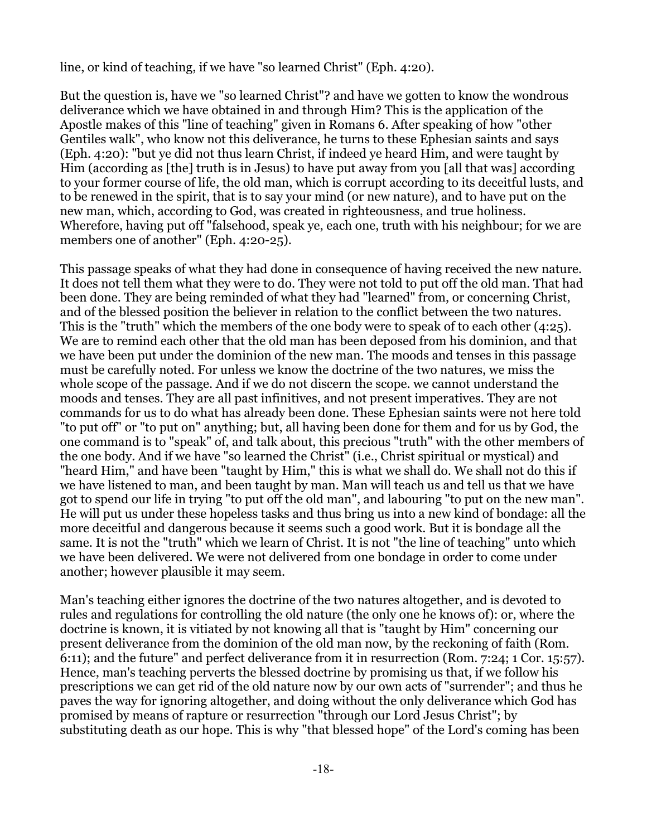line, or kind of teaching, if we have "so learned Christ" (Eph. 4:20).

But the question is, have we "so learned Christ"? and have we gotten to know the wondrous deliverance which we have obtained in and through Him? This is the application of the Apostle makes of this "line of teaching" given in Romans 6. After speaking of how "other Gentiles walk", who know not this deliverance, he turns to these Ephesian saints and says (Eph. 4:20): "but ye did not thus learn Christ, if indeed ye heard Him, and were taught by Him (according as [the] truth is in Jesus) to have put away from you [all that was] according to your former course of life, the old man, which is corrupt according to its deceitful lusts, and to be renewed in the spirit, that is to say your mind (or new nature), and to have put on the new man, which, according to God, was created in righteousness, and true holiness. Wherefore, having put off "falsehood, speak ye, each one, truth with his neighbour; for we are members one of another" (Eph. 4:20-25).

This passage speaks of what they had done in consequence of having received the new nature. It does not tell them what they were to do. They were not told to put off the old man. That had been done. They are being reminded of what they had "learned" from, or concerning Christ, and of the blessed position the believer in relation to the conflict between the two natures. This is the "truth" which the members of the one body were to speak of to each other (4:25). We are to remind each other that the old man has been deposed from his dominion, and that we have been put under the dominion of the new man. The moods and tenses in this passage must be carefully noted. For unless we know the doctrine of the two natures, we miss the whole scope of the passage. And if we do not discern the scope. we cannot understand the moods and tenses. They are all past infinitives, and not present imperatives. They are not commands for us to do what has already been done. These Ephesian saints were not here told "to put off" or "to put on" anything; but, all having been done for them and for us by God, the one command is to "speak" of, and talk about, this precious "truth" with the other members of the one body. And if we have "so learned the Christ" (i.e., Christ spiritual or mystical) and "heard Him," and have been "taught by Him," this is what we shall do. We shall not do this if we have listened to man, and been taught by man. Man will teach us and tell us that we have got to spend our life in trying "to put off the old man", and labouring "to put on the new man". He will put us under these hopeless tasks and thus bring us into a new kind of bondage: all the more deceitful and dangerous because it seems such a good work. But it is bondage all the same. It is not the "truth" which we learn of Christ. It is not "the line of teaching" unto which we have been delivered. We were not delivered from one bondage in order to come under another; however plausible it may seem.

Man's teaching either ignores the doctrine of the two natures altogether, and is devoted to rules and regulations for controlling the old nature (the only one he knows of): or, where the doctrine is known, it is vitiated by not knowing all that is "taught by Him" concerning our present deliverance from the dominion of the old man now, by the reckoning of faith (Rom. 6:11); and the future" and perfect deliverance from it in resurrection (Rom. 7:24; 1 Cor. 15:57). Hence, man's teaching perverts the blessed doctrine by promising us that, if we follow his prescriptions we can get rid of the old nature now by our own acts of "surrender"; and thus he paves the way for ignoring altogether, and doing without the only deliverance which God has promised by means of rapture or resurrection "through our Lord Jesus Christ"; by substituting death as our hope. This is why "that blessed hope" of the Lord's coming has been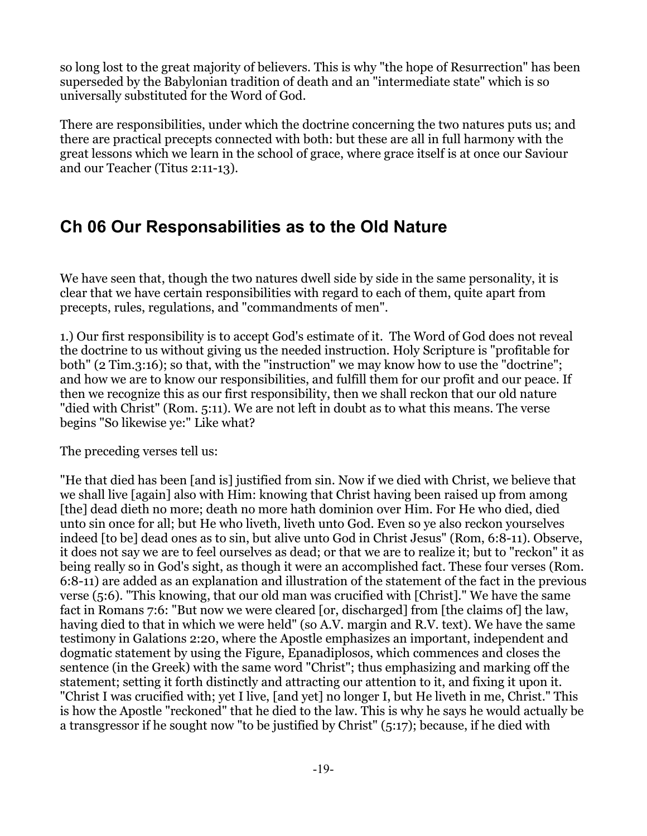so long lost to the great majority of believers. This is why "the hope of Resurrection" has been superseded by the Babylonian tradition of death and an "intermediate state" which is so universally substituted for the Word of God.

There are responsibilities, under which the doctrine concerning the two natures puts us; and there are practical precepts connected with both: but these are all in full harmony with the great lessons which we learn in the school of grace, where grace itself is at once our Saviour and our Teacher (Titus 2:11-13).

## <span id="page-18-0"></span>**Ch 06 Our Responsabilities as to the Old Nature**

We have seen that, though the two natures dwell side by side in the same personality, it is clear that we have certain responsibilities with regard to each of them, quite apart from precepts, rules, regulations, and "commandments of men".

1.) Our first responsibility is to accept God's estimate of it. The Word of God does not reveal the doctrine to us without giving us the needed instruction. Holy Scripture is "profitable for both" (2 Tim.3:16); so that, with the "instruction" we may know how to use the "doctrine"; and how we are to know our responsibilities, and fulfill them for our profit and our peace. If then we recognize this as our first responsibility, then we shall reckon that our old nature "died with Christ" (Rom. 5:11). We are not left in doubt as to what this means. The verse begins "So likewise ye:" Like what?

The preceding verses tell us:

"He that died has been [and is] justified from sin. Now if we died with Christ, we believe that we shall live [again] also with Him: knowing that Christ having been raised up from among [the] dead dieth no more; death no more hath dominion over Him. For He who died, died unto sin once for all; but He who liveth, liveth unto God. Even so ye also reckon yourselves indeed [to be] dead ones as to sin, but alive unto God in Christ Jesus" (Rom, 6:8-11). Observe, it does not say we are to feel ourselves as dead; or that we are to realize it; but to "reckon" it as being really so in God's sight, as though it were an accomplished fact. These four verses (Rom. 6:8-11) are added as an explanation and illustration of the statement of the fact in the previous verse (5:6). "This knowing, that our old man was crucified with [Christ]." We have the same fact in Romans 7:6: "But now we were cleared [or, discharged] from [the claims of] the law, having died to that in which we were held" (so A.V. margin and R.V. text). We have the same testimony in Galations 2:20, where the Apostle emphasizes an important, independent and dogmatic statement by using the Figure, Epanadiplosos, which commences and closes the sentence (in the Greek) with the same word "Christ"; thus emphasizing and marking off the statement; setting it forth distinctly and attracting our attention to it, and fixing it upon it. "Christ I was crucified with; yet I live, [and yet] no longer I, but He liveth in me, Christ." This is how the Apostle "reckoned" that he died to the law. This is why he says he would actually be a transgressor if he sought now "to be justified by Christ" (5:17); because, if he died with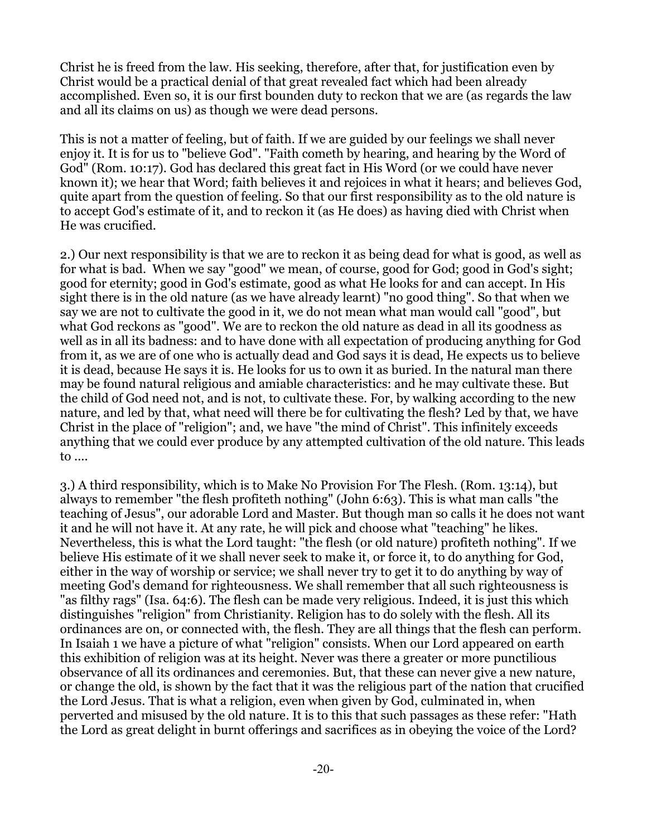Christ he is freed from the law. His seeking, therefore, after that, for justification even by Christ would be a practical denial of that great revealed fact which had been already accomplished. Even so, it is our first bounden duty to reckon that we are (as regards the law and all its claims on us) as though we were dead persons.

This is not a matter of feeling, but of faith. If we are guided by our feelings we shall never enjoy it. It is for us to "believe God". "Faith cometh by hearing, and hearing by the Word of God" (Rom. 10:17). God has declared this great fact in His Word (or we could have never known it); we hear that Word; faith believes it and rejoices in what it hears; and believes God, quite apart from the question of feeling. So that our first responsibility as to the old nature is to accept God's estimate of it, and to reckon it (as He does) as having died with Christ when He was crucified.

2.) Our next responsibility is that we are to reckon it as being dead for what is good, as well as for what is bad. When we say "good" we mean, of course, good for God; good in God's sight; good for eternity; good in God's estimate, good as what He looks for and can accept. In His sight there is in the old nature (as we have already learnt) "no good thing". So that when we say we are not to cultivate the good in it, we do not mean what man would call "good", but what God reckons as "good". We are to reckon the old nature as dead in all its goodness as well as in all its badness: and to have done with all expectation of producing anything for God from it, as we are of one who is actually dead and God says it is dead, He expects us to believe it is dead, because He says it is. He looks for us to own it as buried. In the natural man there may be found natural religious and amiable characteristics: and he may cultivate these. But the child of God need not, and is not, to cultivate these. For, by walking according to the new nature, and led by that, what need will there be for cultivating the flesh? Led by that, we have Christ in the place of "religion"; and, we have "the mind of Christ". This infinitely exceeds anything that we could ever produce by any attempted cultivation of the old nature. This leads to ....

3.) A third responsibility, which is to Make No Provision For The Flesh. (Rom. 13:14), but always to remember "the flesh profiteth nothing" (John 6:63). This is what man calls "the teaching of Jesus", our adorable Lord and Master. But though man so calls it he does not want it and he will not have it. At any rate, he will pick and choose what "teaching" he likes. Nevertheless, this is what the Lord taught: "the flesh (or old nature) profiteth nothing". If we believe His estimate of it we shall never seek to make it, or force it, to do anything for God, either in the way of worship or service; we shall never try to get it to do anything by way of meeting God's demand for righteousness. We shall remember that all such righteousness is "as filthy rags" (Isa. 64:6). The flesh can be made very religious. Indeed, it is just this which distinguishes "religion" from Christianity. Religion has to do solely with the flesh. All its ordinances are on, or connected with, the flesh. They are all things that the flesh can perform. In Isaiah 1 we have a picture of what "religion" consists. When our Lord appeared on earth this exhibition of religion was at its height. Never was there a greater or more punctilious observance of all its ordinances and ceremonies. But, that these can never give a new nature, or change the old, is shown by the fact that it was the religious part of the nation that crucified the Lord Jesus. That is what a religion, even when given by God, culminated in, when perverted and misused by the old nature. It is to this that such passages as these refer: "Hath the Lord as great delight in burnt offerings and sacrifices as in obeying the voice of the Lord?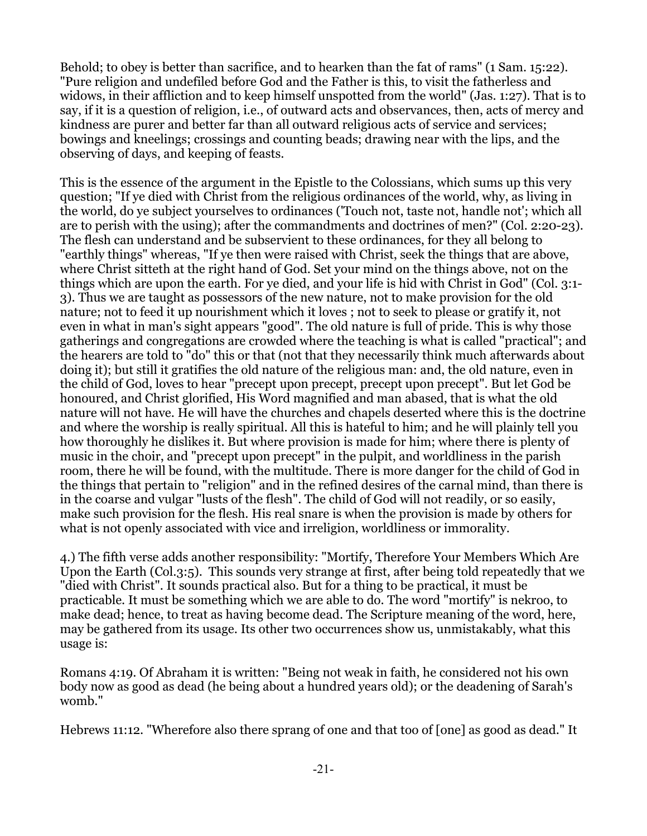Behold; to obey is better than sacrifice, and to hearken than the fat of rams" (1 Sam. 15:22). "Pure religion and undefiled before God and the Father is this, to visit the fatherless and widows, in their affliction and to keep himself unspotted from the world" (Jas. 1:27). That is to say, if it is a question of religion, i.e., of outward acts and observances, then, acts of mercy and kindness are purer and better far than all outward religious acts of service and services; bowings and kneelings; crossings and counting beads; drawing near with the lips, and the observing of days, and keeping of feasts.

This is the essence of the argument in the Epistle to the Colossians, which sums up this very question; "If ye died with Christ from the religious ordinances of the world, why, as living in the world, do ye subject yourselves to ordinances ('Touch not, taste not, handle not'; which all are to perish with the using); after the commandments and doctrines of men?" (Col. 2:20-23). The flesh can understand and be subservient to these ordinances, for they all belong to "earthly things" whereas, "If ye then were raised with Christ, seek the things that are above, where Christ sitteth at the right hand of God. Set your mind on the things above, not on the things which are upon the earth. For ye died, and your life is hid with Christ in God" (Col. 3:1- 3). Thus we are taught as possessors of the new nature, not to make provision for the old nature; not to feed it up nourishment which it loves ; not to seek to please or gratify it, not even in what in man's sight appears "good". The old nature is full of pride. This is why those gatherings and congregations are crowded where the teaching is what is called "practical"; and the hearers are told to "do" this or that (not that they necessarily think much afterwards about doing it); but still it gratifies the old nature of the religious man: and, the old nature, even in the child of God, loves to hear "precept upon precept, precept upon precept". But let God be honoured, and Christ glorified, His Word magnified and man abased, that is what the old nature will not have. He will have the churches and chapels deserted where this is the doctrine and where the worship is really spiritual. All this is hateful to him; and he will plainly tell you how thoroughly he dislikes it. But where provision is made for him; where there is plenty of music in the choir, and "precept upon precept" in the pulpit, and worldliness in the parish room, there he will be found, with the multitude. There is more danger for the child of God in the things that pertain to "religion" and in the refined desires of the carnal mind, than there is in the coarse and vulgar "lusts of the flesh". The child of God will not readily, or so easily, make such provision for the flesh. His real snare is when the provision is made by others for what is not openly associated with vice and irreligion, worldliness or immorality.

4.) The fifth verse adds another responsibility: "Mortify, Therefore Your Members Which Are Upon the Earth (Col.3:5). This sounds very strange at first, after being told repeatedly that we "died with Christ". It sounds practical also. But for a thing to be practical, it must be practicable. It must be something which we are able to do. The word "mortify" is nekroo, to make dead; hence, to treat as having become dead. The Scripture meaning of the word, here, may be gathered from its usage. Its other two occurrences show us, unmistakably, what this usage is:

Romans 4:19. Of Abraham it is written: "Being not weak in faith, he considered not his own body now as good as dead (he being about a hundred years old); or the deadening of Sarah's womb."

Hebrews 11:12. "Wherefore also there sprang of one and that too of [one] as good as dead." It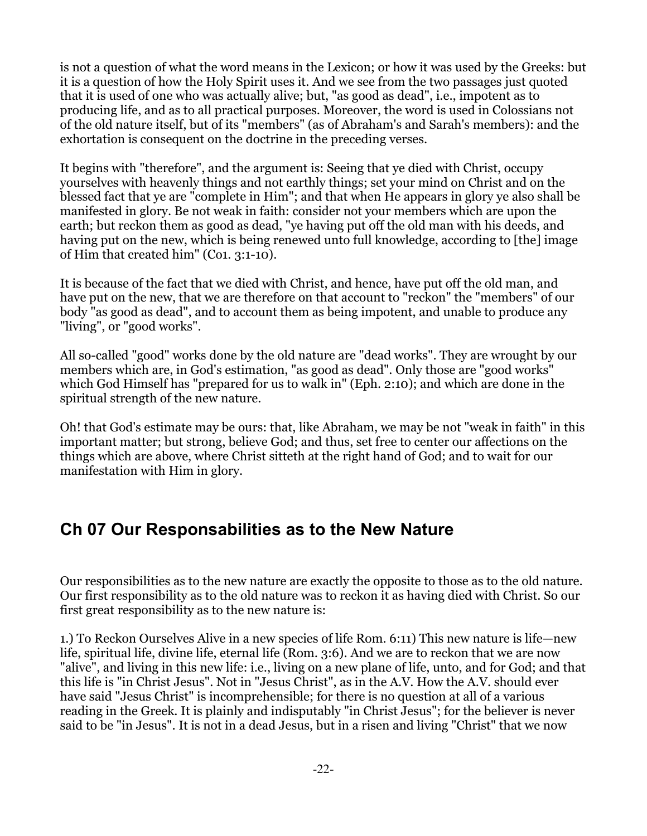is not a question of what the word means in the Lexicon; or how it was used by the Greeks: but it is a question of how the Holy Spirit uses it. And we see from the two passages just quoted that it is used of one who was actually alive; but, "as good as dead", i.e., impotent as to producing life, and as to all practical purposes. Moreover, the word is used in Colossians not of the old nature itself, but of its "members" (as of Abraham's and Sarah's members): and the exhortation is consequent on the doctrine in the preceding verses.

It begins with "therefore", and the argument is: Seeing that ye died with Christ, occupy yourselves with heavenly things and not earthly things; set your mind on Christ and on the blessed fact that ye are "complete in Him"; and that when He appears in glory ye also shall be manifested in glory. Be not weak in faith: consider not your members which are upon the earth; but reckon them as good as dead, "ye having put off the old man with his deeds, and having put on the new, which is being renewed unto full knowledge, according to [the] image of Him that created him" (Co1. 3:1-10).

It is because of the fact that we died with Christ, and hence, have put off the old man, and have put on the new, that we are therefore on that account to "reckon" the "members" of our body "as good as dead", and to account them as being impotent, and unable to produce any "living", or "good works".

All so-called "good" works done by the old nature are "dead works". They are wrought by our members which are, in God's estimation, "as good as dead". Only those are "good works" which God Himself has "prepared for us to walk in" (Eph. 2:10); and which are done in the spiritual strength of the new nature.

Oh! that God's estimate may be ours: that, like Abraham, we may be not "weak in faith" in this important matter; but strong, believe God; and thus, set free to center our affections on the things which are above, where Christ sitteth at the right hand of God; and to wait for our manifestation with Him in glory.

## <span id="page-21-0"></span>**Ch 07 Our Responsabilities as to the New Nature**

Our responsibilities as to the new nature are exactly the opposite to those as to the old nature. Our first responsibility as to the old nature was to reckon it as having died with Christ. So our first great responsibility as to the new nature is:

1.) To Reckon Ourselves Alive in a new species of life Rom. 6:11) This new nature is life—new life, spiritual life, divine life, eternal life (Rom. 3:6). And we are to reckon that we are now "alive", and living in this new life: i.e., living on a new plane of life, unto, and for God; and that this life is "in Christ Jesus". Not in "Jesus Christ", as in the A.V. How the A.V. should ever have said "Jesus Christ" is incomprehensible; for there is no question at all of a various reading in the Greek. It is plainly and indisputably "in Christ Jesus"; for the believer is never said to be "in Jesus". It is not in a dead Jesus, but in a risen and living "Christ" that we now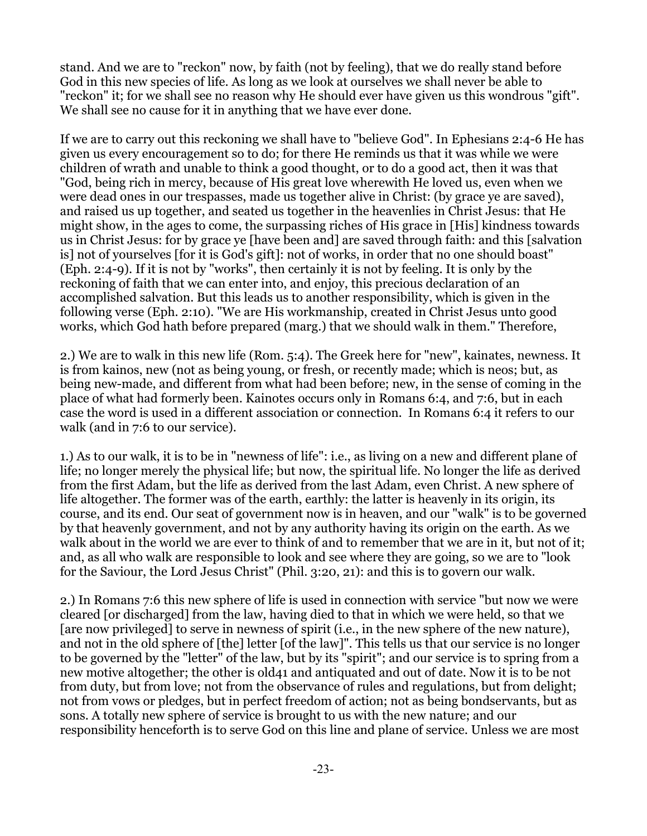stand. And we are to "reckon" now, by faith (not by feeling), that we do really stand before God in this new species of life. As long as we look at ourselves we shall never be able to "reckon" it; for we shall see no reason why He should ever have given us this wondrous "gift". We shall see no cause for it in anything that we have ever done.

If we are to carry out this reckoning we shall have to "believe God". In Ephesians 2:4-6 He has given us every encouragement so to do; for there He reminds us that it was while we were children of wrath and unable to think a good thought, or to do a good act, then it was that "God, being rich in mercy, because of His great love wherewith He loved us, even when we were dead ones in our trespasses, made us together alive in Christ: (by grace ye are saved), and raised us up together, and seated us together in the heavenlies in Christ Jesus: that He might show, in the ages to come, the surpassing riches of His grace in [His] kindness towards us in Christ Jesus: for by grace ye [have been and] are saved through faith: and this [salvation is] not of yourselves [for it is God's gift]: not of works, in order that no one should boast" (Eph. 2:4-9). If it is not by "works", then certainly it is not by feeling. It is only by the reckoning of faith that we can enter into, and enjoy, this precious declaration of an accomplished salvation. But this leads us to another responsibility, which is given in the following verse (Eph. 2:10). "We are His workmanship, created in Christ Jesus unto good works, which God hath before prepared (marg.) that we should walk in them." Therefore,

2.) We are to walk in this new life (Rom. 5:4). The Greek here for "new", kainates, newness. It is from kainos, new (not as being young, or fresh, or recently made; which is neos; but, as being new-made, and different from what had been before; new, in the sense of coming in the place of what had formerly been. Kainotes occurs only in Romans 6:4, and 7:6, but in each case the word is used in a different association or connection. In Romans 6:4 it refers to our walk (and in 7:6 to our service).

1.) As to our walk, it is to be in "newness of life": i.e., as living on a new and different plane of life; no longer merely the physical life; but now, the spiritual life. No longer the life as derived from the first Adam, but the life as derived from the last Adam, even Christ. A new sphere of life altogether. The former was of the earth, earthly: the latter is heavenly in its origin, its course, and its end. Our seat of government now is in heaven, and our "walk" is to be governed by that heavenly government, and not by any authority having its origin on the earth. As we walk about in the world we are ever to think of and to remember that we are in it, but not of it; and, as all who walk are responsible to look and see where they are going, so we are to "look for the Saviour, the Lord Jesus Christ" (Phil. 3:20, 21): and this is to govern our walk.

2.) In Romans 7:6 this new sphere of life is used in connection with service "but now we were cleared [or discharged] from the law, having died to that in which we were held, so that we [are now privileged] to serve in newness of spirit (i.e., in the new sphere of the new nature), and not in the old sphere of [the] letter [of the law]". This tells us that our service is no longer to be governed by the "letter" of the law, but by its "spirit"; and our service is to spring from a new motive altogether; the other is old41 and antiquated and out of date. Now it is to be not from duty, but from love; not from the observance of rules and regulations, but from delight; not from vows or pledges, but in perfect freedom of action; not as being bondservants, but as sons. A totally new sphere of service is brought to us with the new nature; and our responsibility henceforth is to serve God on this line and plane of service. Unless we are most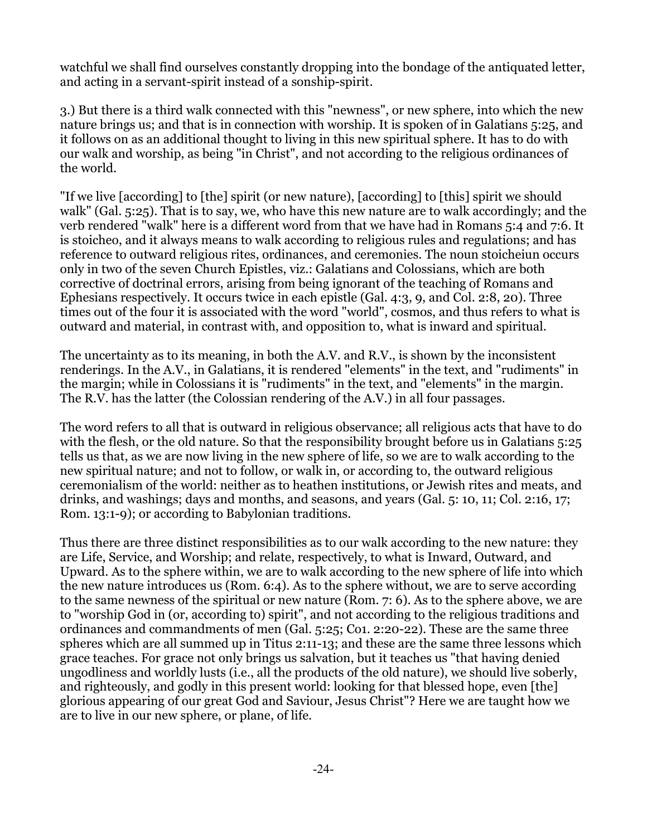watchful we shall find ourselves constantly dropping into the bondage of the antiquated letter, and acting in a servant-spirit instead of a sonship-spirit.

3.) But there is a third walk connected with this "newness", or new sphere, into which the new nature brings us; and that is in connection with worship. It is spoken of in Galatians 5:25, and it follows on as an additional thought to living in this new spiritual sphere. It has to do with our walk and worship, as being "in Christ", and not according to the religious ordinances of the world.

"If we live [according] to [the] spirit (or new nature), [according] to [this] spirit we should walk" (Gal. 5:25). That is to say, we, who have this new nature are to walk accordingly; and the verb rendered "walk" here is a different word from that we have had in Romans 5:4 and 7:6. It is stoicheo, and it always means to walk according to religious rules and regulations; and has reference to outward religious rites, ordinances, and ceremonies. The noun stoicheiun occurs only in two of the seven Church Epistles, viz.: Galatians and Colossians, which are both corrective of doctrinal errors, arising from being ignorant of the teaching of Romans and Ephesians respectively. It occurs twice in each epistle (Gal. 4:3, 9, and Col. 2:8, 20). Three times out of the four it is associated with the word "world", cosmos, and thus refers to what is outward and material, in contrast with, and opposition to, what is inward and spiritual.

The uncertainty as to its meaning, in both the A.V. and R.V., is shown by the inconsistent renderings. In the A.V., in Galatians, it is rendered "elements" in the text, and "rudiments" in the margin; while in Colossians it is "rudiments" in the text, and "elements" in the margin. The R.V. has the latter (the Colossian rendering of the A.V.) in all four passages.

The word refers to all that is outward in religious observance; all religious acts that have to do with the flesh, or the old nature. So that the responsibility brought before us in Galatians 5:25 tells us that, as we are now living in the new sphere of life, so we are to walk according to the new spiritual nature; and not to follow, or walk in, or according to, the outward religious ceremonialism of the world: neither as to heathen institutions, or Jewish rites and meats, and drinks, and washings; days and months, and seasons, and years (Gal. 5: 10, 11; Col. 2:16, 17; Rom. 13:1-9); or according to Babylonian traditions.

Thus there are three distinct responsibilities as to our walk according to the new nature: they are Life, Service, and Worship; and relate, respectively, to what is Inward, Outward, and Upward. As to the sphere within, we are to walk according to the new sphere of life into which the new nature introduces us (Rom. 6:4). As to the sphere without, we are to serve according to the same newness of the spiritual or new nature (Rom. 7: 6). As to the sphere above, we are to "worship God in (or, according to) spirit", and not according to the religious traditions and ordinances and commandments of men (Gal. 5:25; Co1. 2:20-22). These are the same three spheres which are all summed up in Titus 2:11-13; and these are the same three lessons which grace teaches. For grace not only brings us salvation, but it teaches us "that having denied ungodliness and worldly lusts (i.e., all the products of the old nature), we should live soberly, and righteously, and godly in this present world: looking for that blessed hope, even [the] glorious appearing of our great God and Saviour, Jesus Christ"? Here we are taught how we are to live in our new sphere, or plane, of life.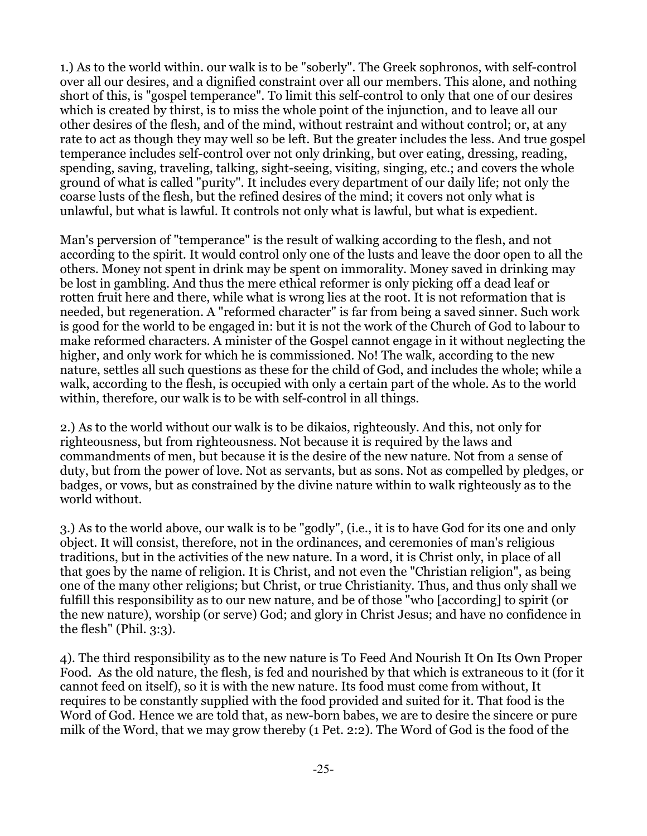1.) As to the world within. our walk is to be "soberly". The Greek sophronos, with self-control over all our desires, and a dignified constraint over all our members. This alone, and nothing short of this, is "gospel temperance". To limit this self-control to only that one of our desires which is created by thirst, is to miss the whole point of the injunction, and to leave all our other desires of the flesh, and of the mind, without restraint and without control; or, at any rate to act as though they may well so be left. But the greater includes the less. And true gospel temperance includes self-control over not only drinking, but over eating, dressing, reading, spending, saving, traveling, talking, sight-seeing, visiting, singing, etc.; and covers the whole ground of what is called "purity". It includes every department of our daily life; not only the coarse lusts of the flesh, but the refined desires of the mind; it covers not only what is unlawful, but what is lawful. It controls not only what is lawful, but what is expedient.

Man's perversion of "temperance" is the result of walking according to the flesh, and not according to the spirit. It would control only one of the lusts and leave the door open to all the others. Money not spent in drink may be spent on immorality. Money saved in drinking may be lost in gambling. And thus the mere ethical reformer is only picking off a dead leaf or rotten fruit here and there, while what is wrong lies at the root. It is not reformation that is needed, but regeneration. A "reformed character" is far from being a saved sinner. Such work is good for the world to be engaged in: but it is not the work of the Church of God to labour to make reformed characters. A minister of the Gospel cannot engage in it without neglecting the higher, and only work for which he is commissioned. No! The walk, according to the new nature, settles all such questions as these for the child of God, and includes the whole; while a walk, according to the flesh, is occupied with only a certain part of the whole. As to the world within, therefore, our walk is to be with self-control in all things.

2.) As to the world without our walk is to be dikaios, righteously. And this, not only for righteousness, but from righteousness. Not because it is required by the laws and commandments of men, but because it is the desire of the new nature. Not from a sense of duty, but from the power of love. Not as servants, but as sons. Not as compelled by pledges, or badges, or vows, but as constrained by the divine nature within to walk righteously as to the world without.

3.) As to the world above, our walk is to be "godly", (i.e., it is to have God for its one and only object. It will consist, therefore, not in the ordinances, and ceremonies of man's religious traditions, but in the activities of the new nature. In a word, it is Christ only, in place of all that goes by the name of religion. It is Christ, and not even the "Christian religion", as being one of the many other religions; but Christ, or true Christianity. Thus, and thus only shall we fulfill this responsibility as to our new nature, and be of those "who [according] to spirit (or the new nature), worship (or serve) God; and glory in Christ Jesus; and have no confidence in the flesh" (Phil. 3:3).

4). The third responsibility as to the new nature is To Feed And Nourish It On Its Own Proper Food. As the old nature, the flesh, is fed and nourished by that which is extraneous to it (for it cannot feed on itself), so it is with the new nature. Its food must come from without, It requires to be constantly supplied with the food provided and suited for it. That food is the Word of God. Hence we are told that, as new-born babes, we are to desire the sincere or pure milk of the Word, that we may grow thereby (1 Pet. 2:2). The Word of God is the food of the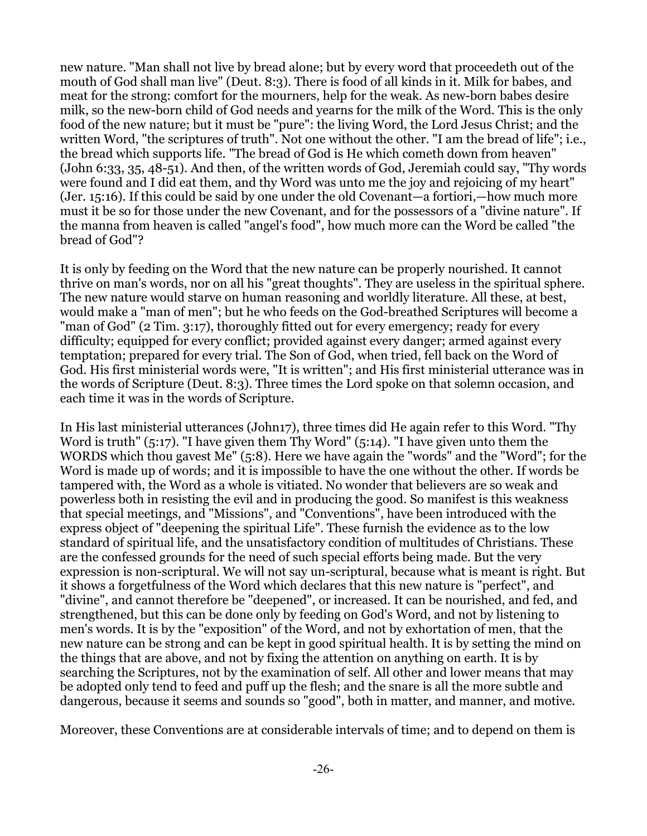new nature. "Man shall not live by bread alone; but by every word that proceedeth out of the mouth of God shall man live" (Deut. 8:3). There is food of all kinds in it. Milk for babes, and meat for the strong: comfort for the mourners, help for the weak. As new-born babes desire milk, so the new-born child of God needs and yearns for the milk of the Word. This is the only food of the new nature; but it must be "pure": the living Word, the Lord Jesus Christ; and the written Word, "the scriptures of truth". Not one without the other. "I am the bread of life"; i.e., the bread which supports life. "The bread of God is He which cometh down from heaven" (John 6:33, 35, 48-51). And then, of the written words of God, Jeremiah could say, "Thy words were found and I did eat them, and thy Word was unto me the joy and rejoicing of my heart" (Jer. 15:16). If this could be said by one under the old Covenant—a fortiori,—how much more must it be so for those under the new Covenant, and for the possessors of a "divine nature". If the manna from heaven is called "angel's food", how much more can the Word be called "the bread of God"?

It is only by feeding on the Word that the new nature can be properly nourished. It cannot thrive on man's words, nor on all his "great thoughts". They are useless in the spiritual sphere. The new nature would starve on human reasoning and worldly literature. All these, at best, would make a "man of men"; but he who feeds on the God-breathed Scriptures will become a "man of God" (2 Tim. 3:17), thoroughly fitted out for every emergency; ready for every difficulty; equipped for every conflict; provided against every danger; armed against every temptation; prepared for every trial. The Son of God, when tried, fell back on the Word of God. His first ministerial words were, "It is written"; and His first ministerial utterance was in the words of Scripture (Deut. 8:3). Three times the Lord spoke on that solemn occasion, and each time it was in the words of Scripture.

In His last ministerial utterances (John17), three times did He again refer to this Word. "Thy Word is truth" (5:17). "I have given them Thy Word" (5:14). "I have given unto them the WORDS which thou gavest Me" (5:8). Here we have again the "words" and the "Word"; for the Word is made up of words; and it is impossible to have the one without the other. If words be tampered with, the Word as a whole is vitiated. No wonder that believers are so weak and powerless both in resisting the evil and in producing the good. So manifest is this weakness that special meetings, and "Missions", and "Conventions", have been introduced with the express object of "deepening the spiritual Life". These furnish the evidence as to the low standard of spiritual life, and the unsatisfactory condition of multitudes of Christians. These are the confessed grounds for the need of such special efforts being made. But the very expression is non-scriptural. We will not say un-scriptural, because what is meant is right. But it shows a forgetfulness of the Word which declares that this new nature is "perfect", and "divine", and cannot therefore be "deepened", or increased. It can be nourished, and fed, and strengthened, but this can be done only by feeding on God's Word, and not by listening to men's words. It is by the "exposition" of the Word, and not by exhortation of men, that the new nature can be strong and can be kept in good spiritual health. It is by setting the mind on the things that are above, and not by fixing the attention on anything on earth. It is by searching the Scriptures, not by the examination of self. All other and lower means that may be adopted only tend to feed and puff up the flesh; and the snare is all the more subtle and dangerous, because it seems and sounds so "good", both in matter, and manner, and motive.

Moreover, these Conventions are at considerable intervals of time; and to depend on them is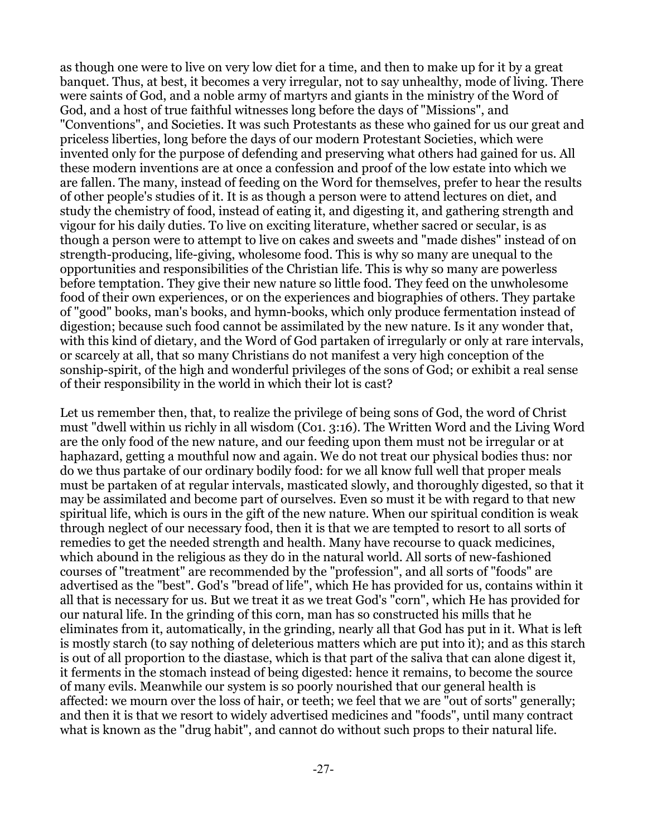as though one were to live on very low diet for a time, and then to make up for it by a great banquet. Thus, at best, it becomes a very irregular, not to say unhealthy, mode of living. There were saints of God, and a noble army of martyrs and giants in the ministry of the Word of God, and a host of true faithful witnesses long before the days of "Missions", and "Conventions", and Societies. It was such Protestants as these who gained for us our great and priceless liberties, long before the days of our modern Protestant Societies, which were invented only for the purpose of defending and preserving what others had gained for us. All these modern inventions are at once a confession and proof of the low estate into which we are fallen. The many, instead of feeding on the Word for themselves, prefer to hear the results of other people's studies of it. It is as though a person were to attend lectures on diet, and study the chemistry of food, instead of eating it, and digesting it, and gathering strength and vigour for his daily duties. To live on exciting literature, whether sacred or secular, is as though a person were to attempt to live on cakes and sweets and "made dishes" instead of on strength-producing, life-giving, wholesome food. This is why so many are unequal to the opportunities and responsibilities of the Christian life. This is why so many are powerless before temptation. They give their new nature so little food. They feed on the unwholesome food of their own experiences, or on the experiences and biographies of others. They partake of "good" books, man's books, and hymn-books, which only produce fermentation instead of digestion; because such food cannot be assimilated by the new nature. Is it any wonder that, with this kind of dietary, and the Word of God partaken of irregularly or only at rare intervals, or scarcely at all, that so many Christians do not manifest a very high conception of the sonship-spirit, of the high and wonderful privileges of the sons of God; or exhibit a real sense of their responsibility in the world in which their lot is cast?

Let us remember then, that, to realize the privilege of being sons of God, the word of Christ must "dwell within us richly in all wisdom (Co1. 3:16). The Written Word and the Living Word are the only food of the new nature, and our feeding upon them must not be irregular or at haphazard, getting a mouthful now and again. We do not treat our physical bodies thus: nor do we thus partake of our ordinary bodily food: for we all know full well that proper meals must be partaken of at regular intervals, masticated slowly, and thoroughly digested, so that it may be assimilated and become part of ourselves. Even so must it be with regard to that new spiritual life, which is ours in the gift of the new nature. When our spiritual condition is weak through neglect of our necessary food, then it is that we are tempted to resort to all sorts of remedies to get the needed strength and health. Many have recourse to quack medicines, which abound in the religious as they do in the natural world. All sorts of new-fashioned courses of "treatment" are recommended by the "profession", and all sorts of "foods" are advertised as the "best". God's "bread of life", which He has provided for us, contains within it all that is necessary for us. But we treat it as we treat God's "corn", which He has provided for our natural life. In the grinding of this corn, man has so constructed his mills that he eliminates from it, automatically, in the grinding, nearly all that God has put in it. What is left is mostly starch (to say nothing of deleterious matters which are put into it); and as this starch is out of all proportion to the diastase, which is that part of the saliva that can alone digest it, it ferments in the stomach instead of being digested: hence it remains, to become the source of many evils. Meanwhile our system is so poorly nourished that our general health is affected: we mourn over the loss of hair, or teeth; we feel that we are "out of sorts" generally; and then it is that we resort to widely advertised medicines and "foods", until many contract what is known as the "drug habit", and cannot do without such props to their natural life.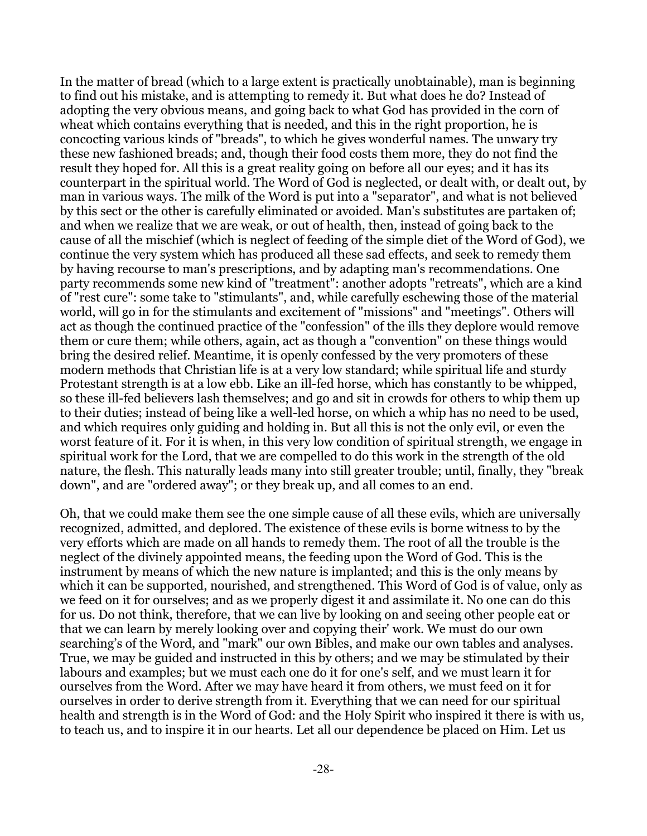In the matter of bread (which to a large extent is practically unobtainable), man is beginning to find out his mistake, and is attempting to remedy it. But what does he do? Instead of adopting the very obvious means, and going back to what God has provided in the corn of wheat which contains everything that is needed, and this in the right proportion, he is concocting various kinds of "breads", to which he gives wonderful names. The unwary try these new fashioned breads; and, though their food costs them more, they do not find the result they hoped for. All this is a great reality going on before all our eyes; and it has its counterpart in the spiritual world. The Word of God is neglected, or dealt with, or dealt out, by man in various ways. The milk of the Word is put into a "separator", and what is not believed by this sect or the other is carefully eliminated or avoided. Man's substitutes are partaken of; and when we realize that we are weak, or out of health, then, instead of going back to the cause of all the mischief (which is neglect of feeding of the simple diet of the Word of God), we continue the very system which has produced all these sad effects, and seek to remedy them by having recourse to man's prescriptions, and by adapting man's recommendations. One party recommends some new kind of "treatment": another adopts "retreats", which are a kind of "rest cure": some take to "stimulants", and, while carefully eschewing those of the material world, will go in for the stimulants and excitement of "missions" and "meetings". Others will act as though the continued practice of the "confession" of the ills they deplore would remove them or cure them; while others, again, act as though a "convention" on these things would bring the desired relief. Meantime, it is openly confessed by the very promoters of these modern methods that Christian life is at a very low standard; while spiritual life and sturdy Protestant strength is at a low ebb. Like an ill-fed horse, which has constantly to be whipped, so these ill-fed believers lash themselves; and go and sit in crowds for others to whip them up to their duties; instead of being like a well-led horse, on which a whip has no need to be used, and which requires only guiding and holding in. But all this is not the only evil, or even the worst feature of it. For it is when, in this very low condition of spiritual strength, we engage in spiritual work for the Lord, that we are compelled to do this work in the strength of the old nature, the flesh. This naturally leads many into still greater trouble; until, finally, they "break down", and are "ordered away"; or they break up, and all comes to an end.

Oh, that we could make them see the one simple cause of all these evils, which are universally recognized, admitted, and deplored. The existence of these evils is borne witness to by the very efforts which are made on all hands to remedy them. The root of all the trouble is the neglect of the divinely appointed means, the feeding upon the Word of God. This is the instrument by means of which the new nature is implanted; and this is the only means by which it can be supported, nourished, and strengthened. This Word of God is of value, only as we feed on it for ourselves; and as we properly digest it and assimilate it. No one can do this for us. Do not think, therefore, that we can live by looking on and seeing other people eat or that we can learn by merely looking over and copying their' work. We must do our own searching's of the Word, and "mark" our own Bibles, and make our own tables and analyses. True, we may be guided and instructed in this by others; and we may be stimulated by their labours and examples; but we must each one do it for one's self, and we must learn it for ourselves from the Word. After we may have heard it from others, we must feed on it for ourselves in order to derive strength from it. Everything that we can need for our spiritual health and strength is in the Word of God: and the Holy Spirit who inspired it there is with us, to teach us, and to inspire it in our hearts. Let all our dependence be placed on Him. Let us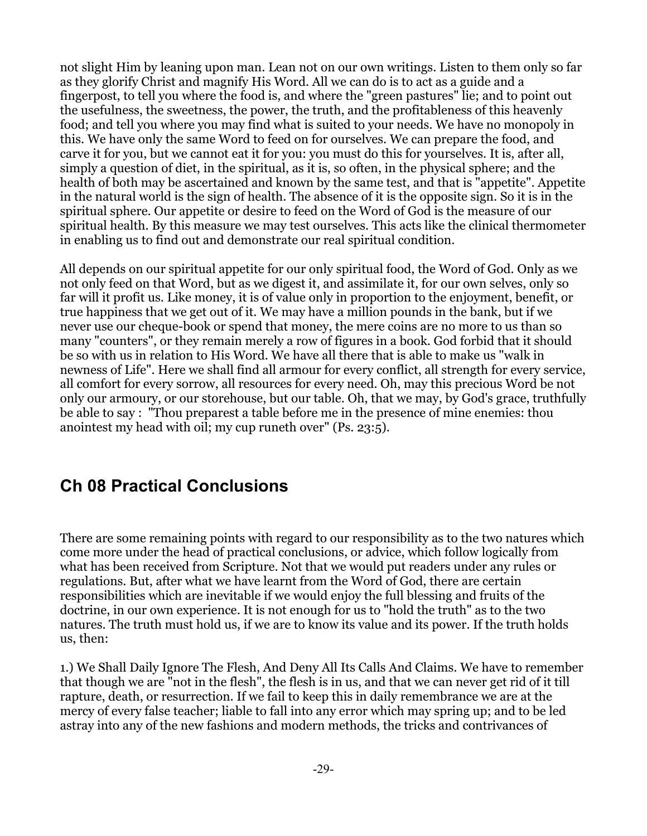not slight Him by leaning upon man. Lean not on our own writings. Listen to them only so far as they glorify Christ and magnify His Word. All we can do is to act as a guide and a fingerpost, to tell you where the food is, and where the "green pastures" lie; and to point out the usefulness, the sweetness, the power, the truth, and the profitableness of this heavenly food; and tell you where you may find what is suited to your needs. We have no monopoly in this. We have only the same Word to feed on for ourselves. We can prepare the food, and carve it for you, but we cannot eat it for you: you must do this for yourselves. It is, after all, simply a question of diet, in the spiritual, as it is, so often, in the physical sphere; and the health of both may be ascertained and known by the same test, and that is "appetite". Appetite in the natural world is the sign of health. The absence of it is the opposite sign. So it is in the spiritual sphere. Our appetite or desire to feed on the Word of God is the measure of our spiritual health. By this measure we may test ourselves. This acts like the clinical thermometer in enabling us to find out and demonstrate our real spiritual condition.

All depends on our spiritual appetite for our only spiritual food, the Word of God. Only as we not only feed on that Word, but as we digest it, and assimilate it, for our own selves, only so far will it profit us. Like money, it is of value only in proportion to the enjoyment, benefit, or true happiness that we get out of it. We may have a million pounds in the bank, but if we never use our cheque-book or spend that money, the mere coins are no more to us than so many "counters", or they remain merely a row of figures in a book. God forbid that it should be so with us in relation to His Word. We have all there that is able to make us "walk in newness of Life". Here we shall find all armour for every conflict, all strength for every service, all comfort for every sorrow, all resources for every need. Oh, may this precious Word be not only our armoury, or our storehouse, but our table. Oh, that we may, by God's grace, truthfully be able to say : "Thou preparest a table before me in the presence of mine enemies: thou anointest my head with oil; my cup runeth over" (Ps. 23:5).

## <span id="page-28-0"></span>**Ch 08 Practical Conclusions**

There are some remaining points with regard to our responsibility as to the two natures which come more under the head of practical conclusions, or advice, which follow logically from what has been received from Scripture. Not that we would put readers under any rules or regulations. But, after what we have learnt from the Word of God, there are certain responsibilities which are inevitable if we would enjoy the full blessing and fruits of the doctrine, in our own experience. It is not enough for us to "hold the truth" as to the two natures. The truth must hold us, if we are to know its value and its power. If the truth holds us, then:

1.) We Shall Daily Ignore The Flesh, And Deny All Its Calls And Claims. We have to remember that though we are "not in the flesh", the flesh is in us, and that we can never get rid of it till rapture, death, or resurrection. If we fail to keep this in daily remembrance we are at the mercy of every false teacher; liable to fall into any error which may spring up; and to be led astray into any of the new fashions and modern methods, the tricks and contrivances of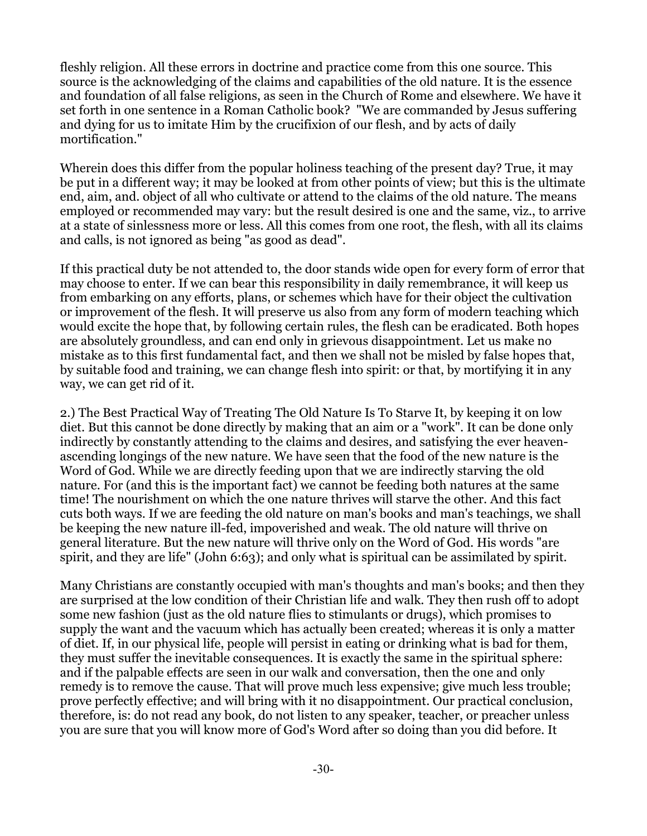fleshly religion. All these errors in doctrine and practice come from this one source. This source is the acknowledging of the claims and capabilities of the old nature. It is the essence and foundation of all false religions, as seen in the Church of Rome and elsewhere. We have it set forth in one sentence in a Roman Catholic book? "We are commanded by Jesus suffering and dying for us to imitate Him by the crucifixion of our flesh, and by acts of daily mortification."

Wherein does this differ from the popular holiness teaching of the present day? True, it may be put in a different way; it may be looked at from other points of view; but this is the ultimate end, aim, and. object of all who cultivate or attend to the claims of the old nature. The means employed or recommended may vary: but the result desired is one and the same, viz., to arrive at a state of sinlessness more or less. All this comes from one root, the flesh, with all its claims and calls, is not ignored as being "as good as dead".

If this practical duty be not attended to, the door stands wide open for every form of error that may choose to enter. If we can bear this responsibility in daily remembrance, it will keep us from embarking on any efforts, plans, or schemes which have for their object the cultivation or improvement of the flesh. It will preserve us also from any form of modern teaching which would excite the hope that, by following certain rules, the flesh can be eradicated. Both hopes are absolutely groundless, and can end only in grievous disappointment. Let us make no mistake as to this first fundamental fact, and then we shall not be misled by false hopes that, by suitable food and training, we can change flesh into spirit: or that, by mortifying it in any way, we can get rid of it.

2.) The Best Practical Way of Treating The Old Nature Is To Starve It, by keeping it on low diet. But this cannot be done directly by making that an aim or a "work". It can be done only indirectly by constantly attending to the claims and desires, and satisfying the ever heavenascending longings of the new nature. We have seen that the food of the new nature is the Word of God. While we are directly feeding upon that we are indirectly starving the old nature. For (and this is the important fact) we cannot be feeding both natures at the same time! The nourishment on which the one nature thrives will starve the other. And this fact cuts both ways. If we are feeding the old nature on man's books and man's teachings, we shall be keeping the new nature ill-fed, impoverished and weak. The old nature will thrive on general literature. But the new nature will thrive only on the Word of God. His words "are spirit, and they are life" (John 6:63); and only what is spiritual can be assimilated by spirit.

Many Christians are constantly occupied with man's thoughts and man's books; and then they are surprised at the low condition of their Christian life and walk. They then rush off to adopt some new fashion (just as the old nature flies to stimulants or drugs), which promises to supply the want and the vacuum which has actually been created; whereas it is only a matter of diet. If, in our physical life, people will persist in eating or drinking what is bad for them, they must suffer the inevitable consequences. It is exactly the same in the spiritual sphere: and if the palpable effects are seen in our walk and conversation, then the one and only remedy is to remove the cause. That will prove much less expensive; give much less trouble; prove perfectly effective; and will bring with it no disappointment. Our practical conclusion, therefore, is: do not read any book, do not listen to any speaker, teacher, or preacher unless you are sure that you will know more of God's Word after so doing than you did before. It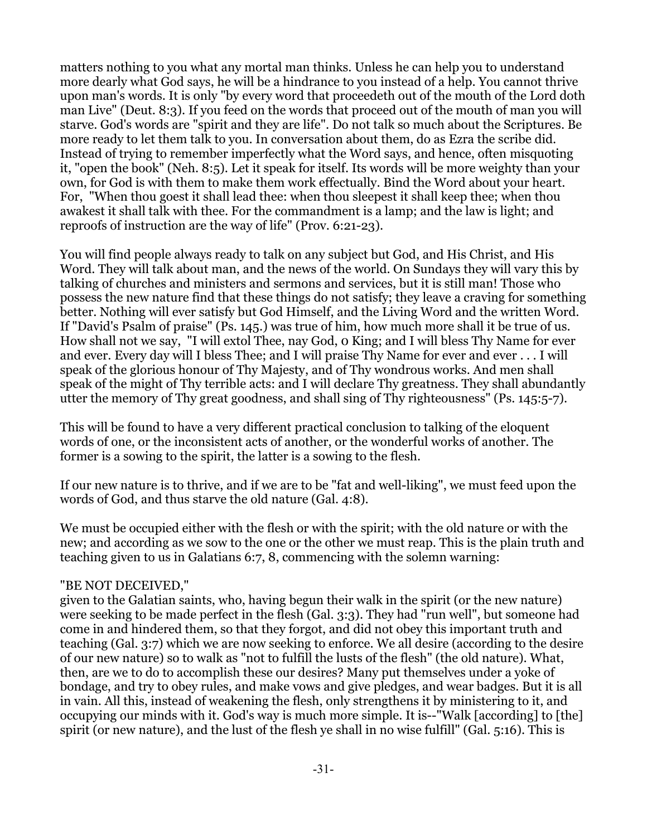matters nothing to you what any mortal man thinks. Unless he can help you to understand more dearly what God says, he will be a hindrance to you instead of a help. You cannot thrive upon man's words. It is only "by every word that proceedeth out of the mouth of the Lord doth man Live" (Deut. 8:3). If you feed on the words that proceed out of the mouth of man you will starve. God's words are "spirit and they are life". Do not talk so much about the Scriptures. Be more ready to let them talk to you. In conversation about them, do as Ezra the scribe did. Instead of trying to remember imperfectly what the Word says, and hence, often misquoting it, "open the book" (Neh. 8:5). Let it speak for itself. Its words will be more weighty than your own, for God is with them to make them work effectually. Bind the Word about your heart. For, "When thou goest it shall lead thee: when thou sleepest it shall keep thee; when thou awakest it shall talk with thee. For the commandment is a lamp; and the law is light; and reproofs of instruction are the way of life" (Prov. 6:21-23).

You will find people always ready to talk on any subject but God, and His Christ, and His Word. They will talk about man, and the news of the world. On Sundays they will vary this by talking of churches and ministers and sermons and services, but it is still man! Those who possess the new nature find that these things do not satisfy; they leave a craving for something better. Nothing will ever satisfy but God Himself, and the Living Word and the written Word. If "David's Psalm of praise" (Ps. 145.) was true of him, how much more shall it be true of us. How shall not we say, "I will extol Thee, nay God, 0 King; and I will bless Thy Name for ever and ever. Every day will I bless Thee; and I will praise Thy Name for ever and ever . . . I will speak of the glorious honour of Thy Majesty, and of Thy wondrous works. And men shall speak of the might of Thy terrible acts: and I will declare Thy greatness. They shall abundantly utter the memory of Thy great goodness, and shall sing of Thy righteousness" (Ps. 145:5-7).

This will be found to have a very different practical conclusion to talking of the eloquent words of one, or the inconsistent acts of another, or the wonderful works of another. The former is a sowing to the spirit, the latter is a sowing to the flesh.

If our new nature is to thrive, and if we are to be "fat and well-liking", we must feed upon the words of God, and thus starve the old nature (Gal. 4:8).

We must be occupied either with the flesh or with the spirit; with the old nature or with the new; and according as we sow to the one or the other we must reap. This is the plain truth and teaching given to us in Galatians 6:7, 8, commencing with the solemn warning:

#### "BE NOT DECEIVED,"

given to the Galatian saints, who, having begun their walk in the spirit (or the new nature) were seeking to be made perfect in the flesh (Gal. 3:3). They had "run well", but someone had come in and hindered them, so that they forgot, and did not obey this important truth and teaching (Gal. 3:7) which we are now seeking to enforce. We all desire (according to the desire of our new nature) so to walk as "not to fulfill the lusts of the flesh" (the old nature). What, then, are we to do to accomplish these our desires? Many put themselves under a yoke of bondage, and try to obey rules, and make vows and give pledges, and wear badges. But it is all in vain. All this, instead of weakening the flesh, only strengthens it by ministering to it, and occupying our minds with it. God's way is much more simple. It is--"Walk [according] to [the] spirit (or new nature), and the lust of the flesh ye shall in no wise fulfill" (Gal. 5:16). This is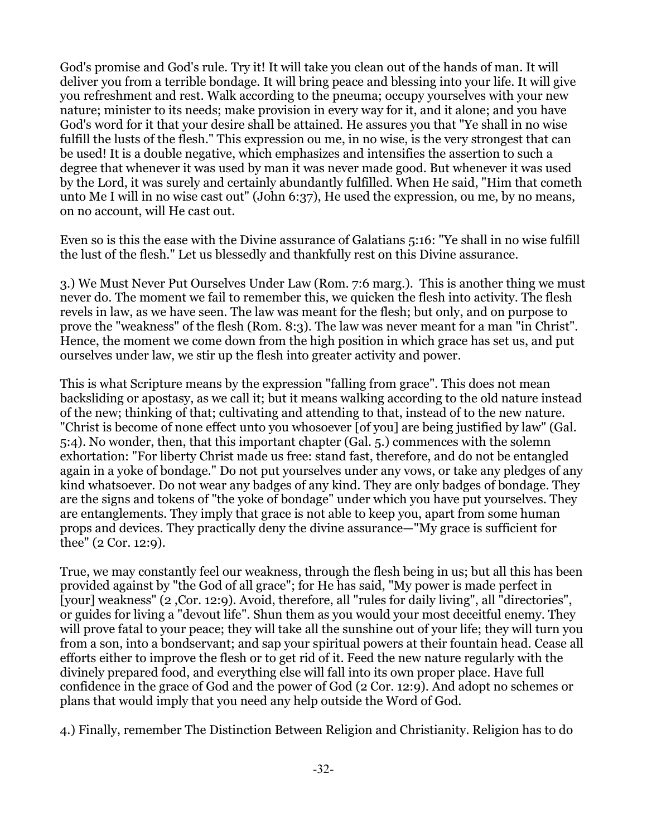God's promise and God's rule. Try it! It will take you clean out of the hands of man. It will deliver you from a terrible bondage. It will bring peace and blessing into your life. It will give you refreshment and rest. Walk according to the pneuma; occupy yourselves with your new nature; minister to its needs; make provision in every way for it, and it alone; and you have God's word for it that your desire shall be attained. He assures you that "Ye shall in no wise fulfill the lusts of the flesh." This expression ou me, in no wise, is the very strongest that can be used! It is a double negative, which emphasizes and intensifies the assertion to such a degree that whenever it was used by man it was never made good. But whenever it was used by the Lord, it was surely and certainly abundantly fulfilled. When He said, "Him that cometh unto Me I will in no wise cast out" (John 6:37), He used the expression, ou me, by no means, on no account, will He cast out.

Even so is this the ease with the Divine assurance of Galatians 5:16: "Ye shall in no wise fulfill the lust of the flesh." Let us blessedly and thankfully rest on this Divine assurance.

3.) We Must Never Put Ourselves Under Law (Rom. 7:6 marg.). This is another thing we must never do. The moment we fail to remember this, we quicken the flesh into activity. The flesh revels in law, as we have seen. The law was meant for the flesh; but only, and on purpose to prove the "weakness" of the flesh (Rom. 8:3). The law was never meant for a man "in Christ". Hence, the moment we come down from the high position in which grace has set us, and put ourselves under law, we stir up the flesh into greater activity and power.

This is what Scripture means by the expression "falling from grace". This does not mean backsliding or apostasy, as we call it; but it means walking according to the old nature instead of the new; thinking of that; cultivating and attending to that, instead of to the new nature. "Christ is become of none effect unto you whosoever [of you] are being justified by law" (Gal. 5:4). No wonder, then, that this important chapter (Gal. 5.) commences with the solemn exhortation: "For liberty Christ made us free: stand fast, therefore, and do not be entangled again in a yoke of bondage." Do not put yourselves under any vows, or take any pledges of any kind whatsoever. Do not wear any badges of any kind. They are only badges of bondage. They are the signs and tokens of "the yoke of bondage" under which you have put yourselves. They are entanglements. They imply that grace is not able to keep you, apart from some human props and devices. They practically deny the divine assurance—"My grace is sufficient for thee" (2 Cor. 12:9).

True, we may constantly feel our weakness, through the flesh being in us; but all this has been provided against by "the God of all grace"; for He has said, "My power is made perfect in [your] weakness" (2 ,Cor. 12:9). Avoid, therefore, all "rules for daily living", all "directories", or guides for living a "devout life". Shun them as you would your most deceitful enemy. They will prove fatal to your peace; they will take all the sunshine out of your life; they will turn you from a son, into a bondservant; and sap your spiritual powers at their fountain head. Cease all efforts either to improve the flesh or to get rid of it. Feed the new nature regularly with the divinely prepared food, and everything else will fall into its own proper place. Have full confidence in the grace of God and the power of God (2 Cor. 12:9). And adopt no schemes or plans that would imply that you need any help outside the Word of God.

4.) Finally, remember The Distinction Between Religion and Christianity. Religion has to do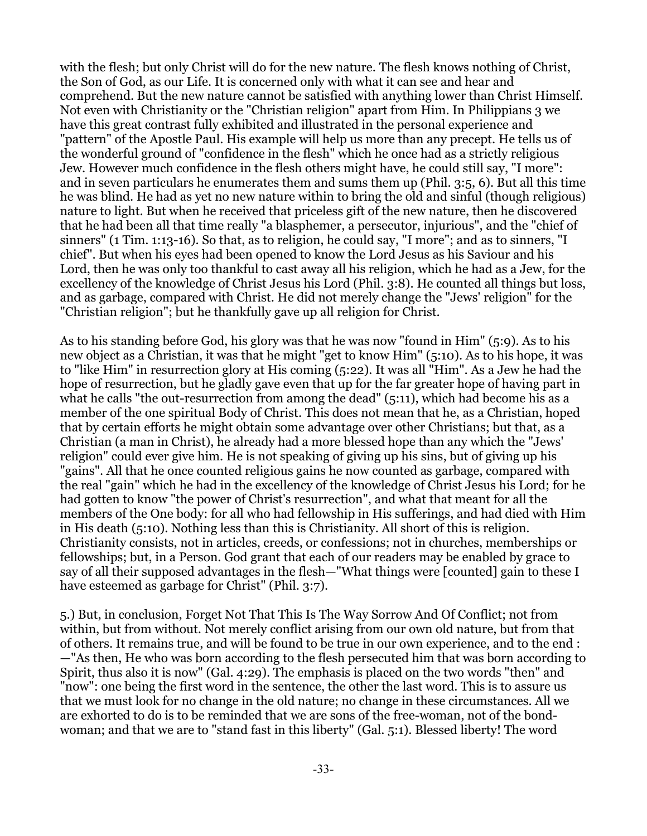with the flesh; but only Christ will do for the new nature. The flesh knows nothing of Christ, the Son of God, as our Life. It is concerned only with what it can see and hear and comprehend. But the new nature cannot be satisfied with anything lower than Christ Himself. Not even with Christianity or the "Christian religion" apart from Him. In Philippians 3 we have this great contrast fully exhibited and illustrated in the personal experience and "pattern" of the Apostle Paul. His example will help us more than any precept. He tells us of the wonderful ground of "confidence in the flesh" which he once had as a strictly religious Jew. However much confidence in the flesh others might have, he could still say, "I more": and in seven particulars he enumerates them and sums them up (Phil. 3:5, 6). But all this time he was blind. He had as yet no new nature within to bring the old and sinful (though religious) nature to light. But when he received that priceless gift of the new nature, then he discovered that he had been all that time really "a blasphemer, a persecutor, injurious", and the "chief of sinners" (1 Tim. 1:13-16). So that, as to religion, he could say, "I more"; and as to sinners, "I chief". But when his eyes had been opened to know the Lord Jesus as his Saviour and his Lord, then he was only too thankful to cast away all his religion, which he had as a Jew, for the excellency of the knowledge of Christ Jesus his Lord (Phil. 3:8). He counted all things but loss, and as garbage, compared with Christ. He did not merely change the "Jews' religion" for the "Christian religion"; but he thankfully gave up all religion for Christ.

As to his standing before God, his glory was that he was now "found in Him" (5:9). As to his new object as a Christian, it was that he might "get to know Him" (5:10). As to his hope, it was to "like Him" in resurrection glory at His coming (5:22). It was all "Him". As a Jew he had the hope of resurrection, but he gladly gave even that up for the far greater hope of having part in what he calls "the out-resurrection from among the dead" (5:11), which had become his as a member of the one spiritual Body of Christ. This does not mean that he, as a Christian, hoped that by certain efforts he might obtain some advantage over other Christians; but that, as a Christian (a man in Christ), he already had a more blessed hope than any which the "Jews' religion" could ever give him. He is not speaking of giving up his sins, but of giving up his "gains". All that he once counted religious gains he now counted as garbage, compared with the real "gain" which he had in the excellency of the knowledge of Christ Jesus his Lord; for he had gotten to know "the power of Christ's resurrection", and what that meant for all the members of the One body: for all who had fellowship in His sufferings, and had died with Him in His death (5:10). Nothing less than this is Christianity. All short of this is religion. Christianity consists, not in articles, creeds, or confessions; not in churches, memberships or fellowships; but, in a Person. God grant that each of our readers may be enabled by grace to say of all their supposed advantages in the flesh—"What things were [counted] gain to these I have esteemed as garbage for Christ" (Phil. 3:7).

5.) But, in conclusion, Forget Not That This Is The Way Sorrow And Of Conflict; not from within, but from without. Not merely conflict arising from our own old nature, but from that of others. It remains true, and will be found to be true in our own experience, and to the end : —"As then, He who was born according to the flesh persecuted him that was born according to Spirit, thus also it is now" (Gal. 4:29). The emphasis is placed on the two words "then" and "now": one being the first word in the sentence, the other the last word. This is to assure us that we must look for no change in the old nature; no change in these circumstances. All we are exhorted to do is to be reminded that we are sons of the free-woman, not of the bondwoman; and that we are to "stand fast in this liberty" (Gal. 5:1). Blessed liberty! The word